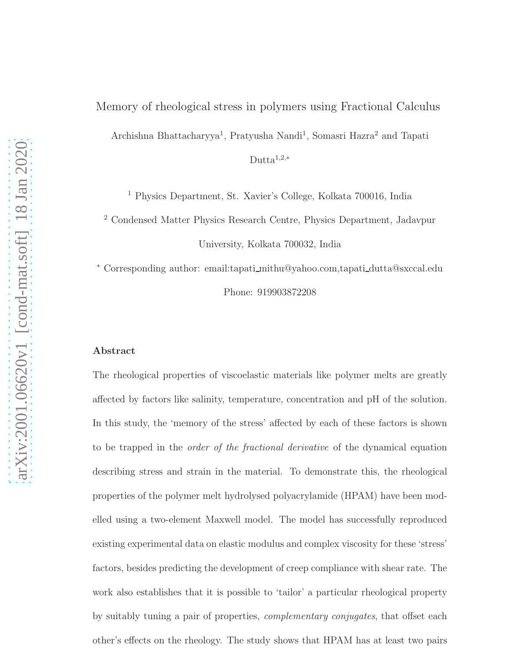Archishna Bhattacharyya<sup>1</sup>, Pratyusha Nandi<sup>1</sup>, Somasri Hazra<sup>2</sup> and Tapati

Dutta $1,2,*$ 

<sup>1</sup> Physics Department, St. Xavier's College, Kolkata 700016, India

<sup>2</sup> Condensed Matter Physics Research Centre, Physics Department, Jadavpur University, Kolkata 700032, India

<sup>∗</sup> Corresponding author: email:tapati mithu@yahoo.com,tapati dutta@sxccal.edu Phone: 919903872208

#### Abstract

The rheological properties of viscoelastic materials like polymer melts are greatly affected by factors like salinity, temperature, concentration and pH of the solution. In this study, the 'memory of the stress' affected by each of these factors is shown to be trapped in the *order of the fractional derivative* of the dynamical equation describing stress and strain in the material. To demonstrate this, the rheological properties of the polymer melt hydrolysed polyacrylamide (HPAM) have been modelled using a two-element Maxwell model. The model has successfully reproduced existing experimental data on elastic modulus and complex viscosity for these 'stress' factors, besides predicting the development of creep compliance with shear rate. The work also establishes that it is possible to 'tailor' a particular rheological property by suitably tuning a pair of properties, *complementary conjugates*, that offset each other's effects on the rheology. The study shows that HPAM has at least two pairs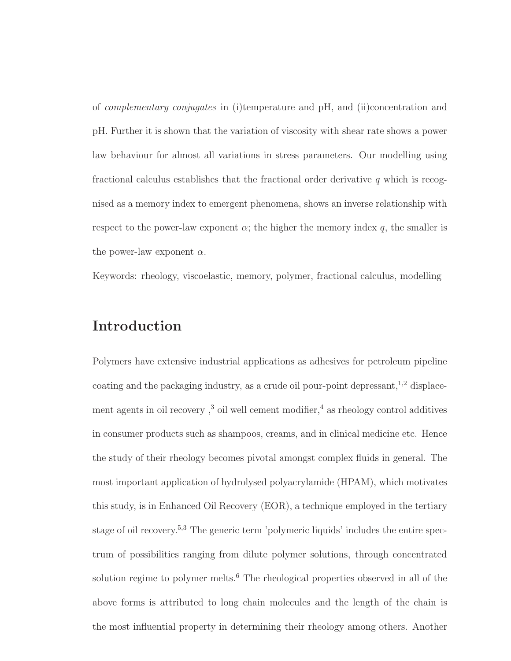of *complementary conjugates* in (i)temperature and pH, and (ii)concentration and pH. Further it is shown that the variation of viscosity with shear rate shows a power law behaviour for almost all variations in stress parameters. Our modelling using fractional calculus establishes that the fractional order derivative  $q$  which is recognised as a memory index to emergent phenomena, shows an inverse relationship with respect to the power-law exponent  $\alpha$ ; the higher the memory index q, the smaller is the power-law exponent  $\alpha$ .

Keywords: rheology, viscoelastic, memory, polymer, fractional calculus, modelling

# Introduction

Polymers have extensive industrial applications as adhesives for petroleum pipeline coating and the packaging industry, as a crude oil pour-point depressant, $^{1,2}$  displacement agents in oil recovery,<sup>3</sup> oil well cement modifier,<sup>4</sup> as rheology control additives in consumer products such as shampoos, creams, and in clinical medicine etc. Hence the study of their rheology becomes pivotal amongst complex fluids in general. The most important application of hydrolysed polyacrylamide (HPAM), which motivates this study, is in Enhanced Oil Recovery (EOR), a technique employed in the tertiary stage of oil recovery.<sup>5,3</sup> The generic term 'polymeric liquids' includes the entire spectrum of possibilities ranging from dilute polymer solutions, through concentrated solution regime to polymer melts.<sup>6</sup> The rheological properties observed in all of the above forms is attributed to long chain molecules and the length of the chain is the most influential property in determining their rheology among others. Another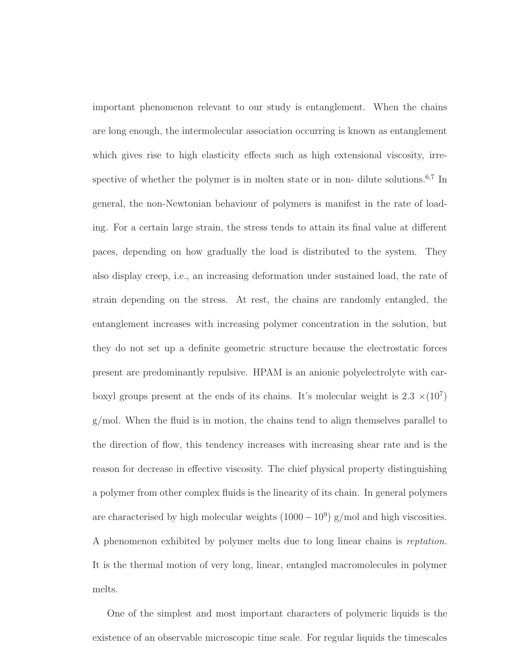important phenomenon relevant to our study is entanglement. When the chains are long enough, the intermolecular association occurring is known as entanglement which gives rise to high elasticity effects such as high extensional viscosity, irrespective of whether the polymer is in molten state or in non- dilute solutions.<sup>6,7</sup> In general, the non-Newtonian behaviour of polymers is manifest in the rate of loading. For a certain large strain, the stress tends to attain its final value at different paces, depending on how gradually the load is distributed to the system. They also display creep, i.e., an increasing deformation under sustained load, the rate of strain depending on the stress. At rest, the chains are randomly entangled, the entanglement increases with increasing polymer concentration in the solution, but they do not set up a definite geometric structure because the electrostatic forces present are predominantly repulsive. HPAM is an anionic polyelectrolyte with carboxyl groups present at the ends of its chains. It's molecular weight is  $2.3 \times (10^7)$ g/mol. When the fluid is in motion, the chains tend to align themselves parallel to the direction of flow, this tendency increases with increasing shear rate and is the reason for decrease in effective viscosity. The chief physical property distinguishing a polymer from other complex fluids is the linearity of its chain. In general polymers are characterised by high molecular weights  $(1000-10<sup>9</sup>)$  g/mol and high viscosities. A phenomenon exhibited by polymer melts due to long linear chains is *reptation.* It is the thermal motion of very long, linear, entangled macromolecules in polymer melts.

One of the simplest and most important characters of polymeric liquids is the existence of an observable microscopic time scale. For regular liquids the timescales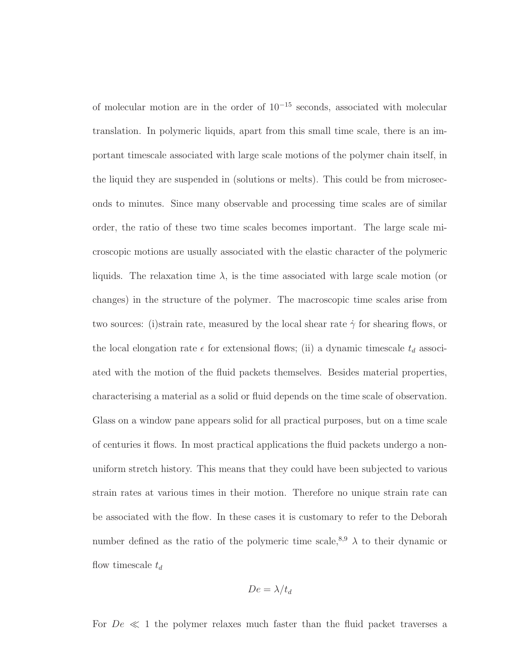of molecular motion are in the order of 10<sup>−</sup><sup>15</sup> seconds, associated with molecular translation. In polymeric liquids, apart from this small time scale, there is an important timescale associated with large scale motions of the polymer chain itself, in the liquid they are suspended in (solutions or melts). This could be from microseconds to minutes. Since many observable and processing time scales are of similar order, the ratio of these two time scales becomes important. The large scale microscopic motions are usually associated with the elastic character of the polymeric liquids. The relaxation time  $\lambda$ , is the time associated with large scale motion (or changes) in the structure of the polymer. The macroscopic time scales arise from two sources: (i)strain rate, measured by the local shear rate  $\dot{\gamma}$  for shearing flows, or the local elongation rate  $\epsilon$  for extensional flows; (ii) a dynamic timescale  $t_d$  associated with the motion of the fluid packets themselves. Besides material properties, characterising a material as a solid or fluid depends on the time scale of observation. Glass on a window pane appears solid for all practical purposes, but on a time scale of centuries it flows. In most practical applications the fluid packets undergo a nonuniform stretch history. This means that they could have been subjected to various strain rates at various times in their motion. Therefore no unique strain rate can be associated with the flow. In these cases it is customary to refer to the Deborah number defined as the ratio of the polymeric time scale,<sup>8,9</sup>  $\lambda$  to their dynamic or flow timescale  $t_d$ 

$$
De = \lambda/t_d
$$

For  $De \ll 1$  the polymer relaxes much faster than the fluid packet traverses a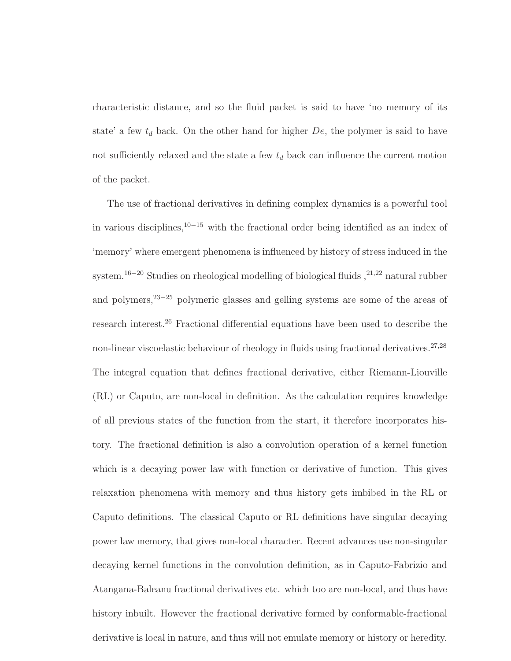characteristic distance, and so the fluid packet is said to have 'no memory of its state' a few  $t_d$  back. On the other hand for higher  $De$ , the polymer is said to have not sufficiently relaxed and the state a few  $t_d$  back can influence the current motion of the packet.

The use of fractional derivatives in defining complex dynamics is a powerful tool in various disciplines,<sup>10</sup>−<sup>15</sup> with the fractional order being identified as an index of 'memory' where emergent phenomena is influenced by history of stress induced in the system.<sup>16−20</sup> Studies on rheological modelling of biological fluids  $,^{21,22}$  natural rubber and polymers,<sup>23</sup>−<sup>25</sup> polymeric glasses and gelling systems are some of the areas of research interest.<sup>26</sup> Fractional differential equations have been used to describe the non-linear viscoelastic behaviour of rheology in fluids using fractional derivatives.<sup>27,28</sup> The integral equation that defines fractional derivative, either Riemann-Liouville (RL) or Caputo, are non-local in definition. As the calculation requires knowledge of all previous states of the function from the start, it therefore incorporates history. The fractional definition is also a convolution operation of a kernel function which is a decaying power law with function or derivative of function. This gives relaxation phenomena with memory and thus history gets imbibed in the RL or Caputo definitions. The classical Caputo or RL definitions have singular decaying power law memory, that gives non-local character. Recent advances use non-singular decaying kernel functions in the convolution definition, as in Caputo-Fabrizio and Atangana-Baleanu fractional derivatives etc. which too are non-local, and thus have history inbuilt. However the fractional derivative formed by conformable-fractional derivative is local in nature, and thus will not emulate memory or history or heredity.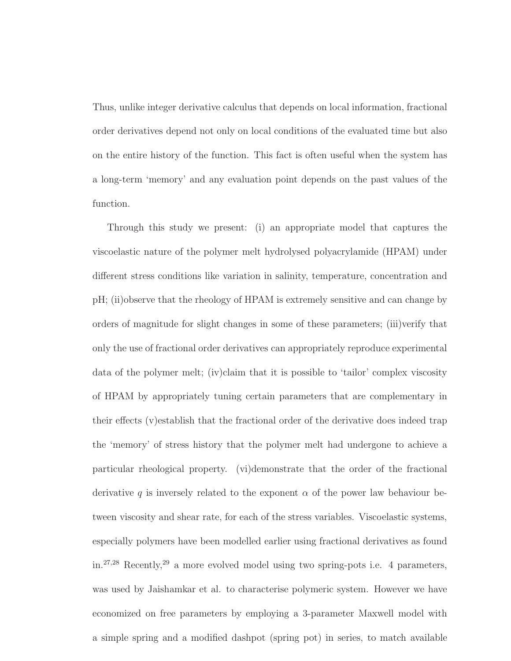Thus, unlike integer derivative calculus that depends on local information, fractional order derivatives depend not only on local conditions of the evaluated time but also on the entire history of the function. This fact is often useful when the system has a long-term 'memory' and any evaluation point depends on the past values of the function.

Through this study we present: (i) an appropriate model that captures the viscoelastic nature of the polymer melt hydrolysed polyacrylamide (HPAM) under different stress conditions like variation in salinity, temperature, concentration and pH; (ii)observe that the rheology of HPAM is extremely sensitive and can change by orders of magnitude for slight changes in some of these parameters; (iii)verify that only the use of fractional order derivatives can appropriately reproduce experimental data of the polymer melt; (iv)claim that it is possible to 'tailor' complex viscosity of HPAM by appropriately tuning certain parameters that are complementary in their effects (v)establish that the fractional order of the derivative does indeed trap the 'memory' of stress history that the polymer melt had undergone to achieve a particular rheological property. (vi)demonstrate that the order of the fractional derivative q is inversely related to the exponent  $\alpha$  of the power law behaviour between viscosity and shear rate, for each of the stress variables. Viscoelastic systems, especially polymers have been modelled earlier using fractional derivatives as found in.<sup>27</sup>,<sup>28</sup> Recently,<sup>29</sup> a more evolved model using two spring-pots i.e. 4 parameters, was used by Jaishamkar et al. to characterise polymeric system. However we have economized on free parameters by employing a 3-parameter Maxwell model with a simple spring and a modified dashpot (spring pot) in series, to match available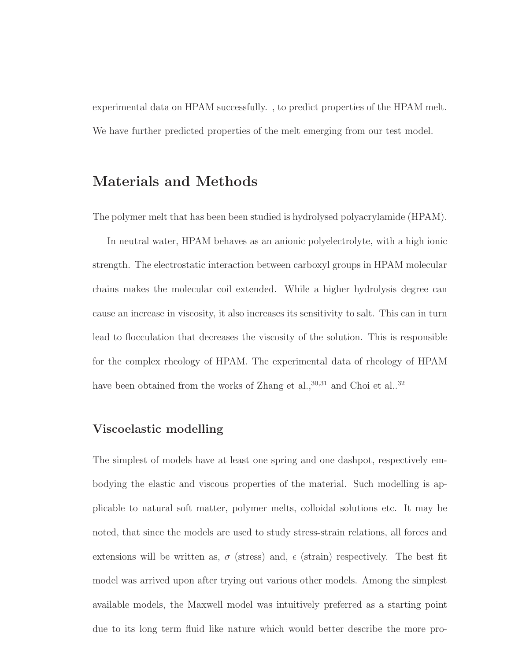experimental data on HPAM successfully. , to predict properties of the HPAM melt. We have further predicted properties of the melt emerging from our test model.

# Materials and Methods

The polymer melt that has been been studied is hydrolysed polyacrylamide (HPAM).

In neutral water, HPAM behaves as an anionic polyelectrolyte, with a high ionic strength. The electrostatic interaction between carboxyl groups in HPAM molecular chains makes the molecular coil extended. While a higher hydrolysis degree can cause an increase in viscosity, it also increases its sensitivity to salt. This can in turn lead to flocculation that decreases the viscosity of the solution. This is responsible for the complex rheology of HPAM. The experimental data of rheology of HPAM have been obtained from the works of Zhang et al.,  $30,31$  and Choi et al.,  $32$ 

### Viscoelastic modelling

The simplest of models have at least one spring and one dashpot, respectively embodying the elastic and viscous properties of the material. Such modelling is applicable to natural soft matter, polymer melts, colloidal solutions etc. It may be noted, that since the models are used to study stress-strain relations, all forces and extensions will be written as,  $\sigma$  (stress) and,  $\epsilon$  (strain) respectively. The best fit model was arrived upon after trying out various other models. Among the simplest available models, the Maxwell model was intuitively preferred as a starting point due to its long term fluid like nature which would better describe the more pro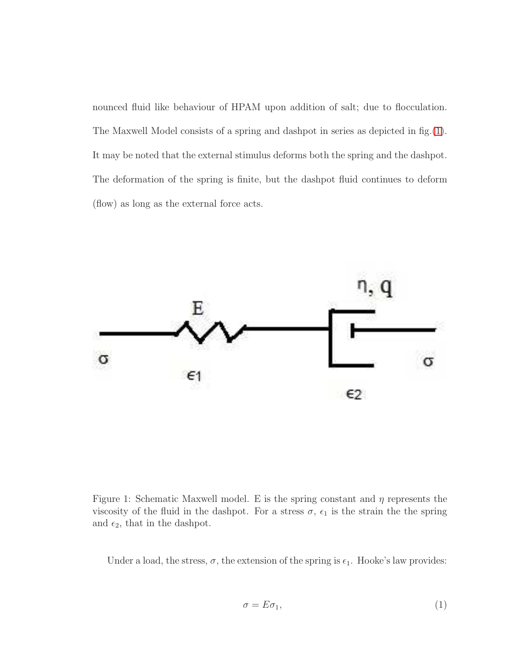nounced fluid like behaviour of HPAM upon addition of salt; due to flocculation. The Maxwell Model consists of a spring and dashpot in series as depicted in fig.[\(1\)](#page-7-0). It may be noted that the external stimulus deforms both the spring and the dashpot. The deformation of the spring is finite, but the dashpot fluid continues to deform (flow) as long as the external force acts.



<span id="page-7-0"></span>Figure 1: Schematic Maxwell model. E is the spring constant and  $\eta$  represents the viscosity of the fluid in the dashpot. For a stress  $\sigma$ ,  $\epsilon_1$  is the strain the the spring and  $\epsilon_2$ , that in the dashpot.

Under a load, the stress,  $\sigma$ , the extension of the spring is  $\epsilon_1$ . Hooke's law provides:

<span id="page-7-1"></span>
$$
\sigma = E\sigma_1,\tag{1}
$$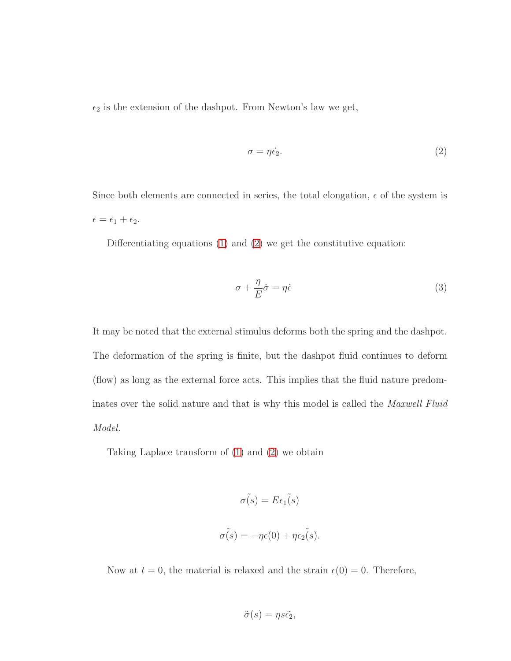$\epsilon_2$  is the extension of the dashpot. From Newton's law we get,

<span id="page-8-0"></span>
$$
\sigma = \eta \dot{\epsilon_2}.\tag{2}
$$

Since both elements are connected in series, the total elongation,  $\epsilon$  of the system is  $\epsilon = \epsilon_1 + \epsilon_2.$ 

Differentiating equations  $(1)$  and  $(2)$  we get the constitutive equation:

<span id="page-8-1"></span>
$$
\sigma + \frac{\eta}{E}\dot{\sigma} = \eta \dot{\epsilon}
$$
 (3)

It may be noted that the external stimulus deforms both the spring and the dashpot. The deformation of the spring is finite, but the dashpot fluid continues to deform (flow) as long as the external force acts. This implies that the fluid nature predominates over the solid nature and that is why this model is called the *Maxwell Fluid Model.*

Taking Laplace transform of [\(1\)](#page-7-1) and [\(2\)](#page-8-0) we obtain

$$
\tilde{\sigma(s)} = E\epsilon_1(s)
$$

$$
\tilde{\sigma(s)} = -\eta \epsilon(0) + \eta \epsilon_2(s).
$$

Now at  $t = 0$ , the material is relaxed and the strain  $\epsilon(0) = 0$ . Therefore,

$$
\tilde{\sigma}(s) = \eta s \tilde{\epsilon_2},
$$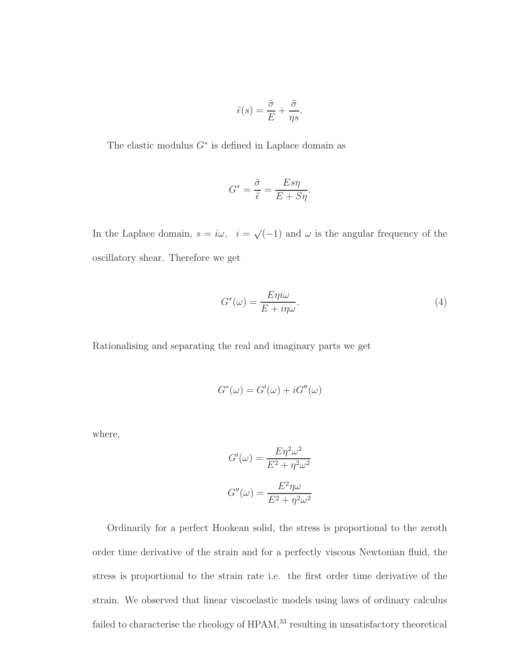$$
\tilde{\epsilon}(s) = \frac{\tilde{\sigma}}{E} + \frac{\tilde{\sigma}}{\eta s}
$$

.

The elastic modulus  $G^*$  is defined in Laplace domain as

$$
G^* = \frac{\tilde{\sigma}}{\tilde{\epsilon}} = \frac{E s \eta}{E + S \eta}.
$$

In the Laplace domain,  $s = i\omega$ ,  $i = \sqrt{(-1)}$  and  $\omega$  is the angular frequency of the oscillatory shear. Therefore we get

$$
G^*(\omega) = \frac{E\eta i\omega}{E + i\eta\omega}.\tag{4}
$$

Rationalising and separating the real and imaginary parts we get

$$
G^*(\omega) = G'(\omega) + iG''(\omega)
$$

where,

$$
G'(\omega) = \frac{E\eta^2 \omega^2}{E^2 + \eta^2 \omega^2}
$$

$$
G''(\omega) = \frac{E^2 \eta \omega}{E^2 + \eta^2 \omega^2}
$$

Ordinarily for a perfect Hookean solid, the stress is proportional to the zeroth order time derivative of the strain and for a perfectly viscous Newtonian fluid, the stress is proportional to the strain rate i.e. the first order time derivative of the strain. We observed that linear viscoelastic models using laws of ordinary calculus failed to characterise the rheology of HPAM,  $^{33}$  resulting in unsatisfactory theoretical  $\,$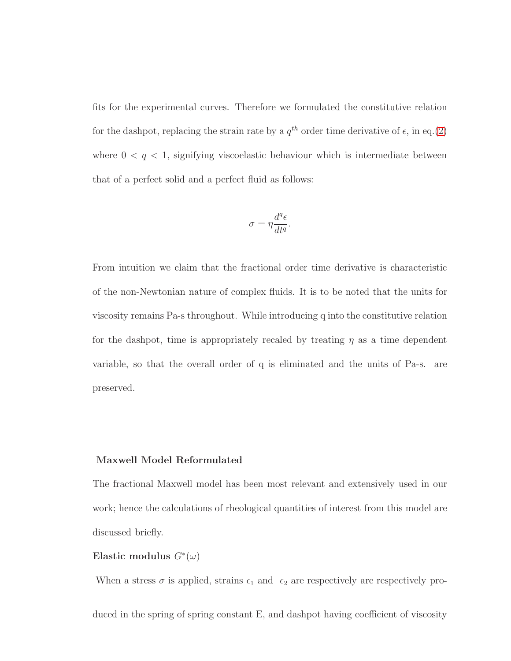fits for the experimental curves. Therefore we formulated the constitutive relation for the dashpot, replacing the strain rate by a  $q^{th}$  order time derivative of  $\epsilon$ , in eq.[\(2\)](#page-8-0) where  $0 < q < 1$ , signifying viscoelastic behaviour which is intermediate between that of a perfect solid and a perfect fluid as follows:

$$
\sigma = \eta \frac{d^q \epsilon}{dt^q}.
$$

From intuition we claim that the fractional order time derivative is characteristic of the non-Newtonian nature of complex fluids. It is to be noted that the units for viscosity remains Pa-s throughout. While introducing q into the constitutive relation for the dashpot, time is appropriately recaled by treating  $\eta$  as a time dependent variable, so that the overall order of q is eliminated and the units of Pa-s. are preserved.

#### Maxwell Model Reformulated

The fractional Maxwell model has been most relevant and extensively used in our work; hence the calculations of rheological quantities of interest from this model are discussed briefly.

## Elastic modulus  $G^*(\omega)$

When a stress  $\sigma$  is applied, strains  $\epsilon_1$  and  $\epsilon_2$  are respectively are respectively pro-

duced in the spring of spring constant E, and dashpot having coefficient of viscosity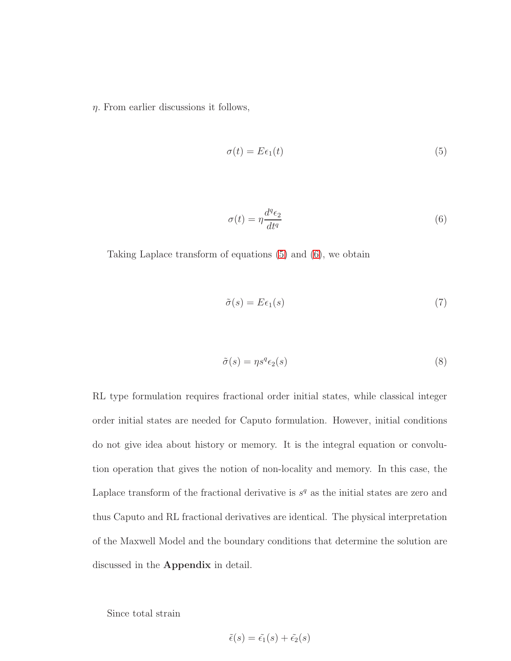$\eta$ . From earlier discussions it follows,

<span id="page-11-0"></span>
$$
\sigma(t) = E\epsilon_1(t) \tag{5}
$$

<span id="page-11-1"></span>
$$
\sigma(t) = \eta \frac{d^q \epsilon_2}{dt^q} \tag{6}
$$

Taking Laplace transform of equations [\(5\)](#page-11-0) and [\(6\)](#page-11-1), we obtain

$$
\tilde{\sigma}(s) = E\epsilon_1(s) \tag{7}
$$

$$
\tilde{\sigma}(s) = \eta s^q \epsilon_2(s) \tag{8}
$$

RL type formulation requires fractional order initial states, while classical integer order initial states are needed for Caputo formulation. However, initial conditions do not give idea about history or memory. It is the integral equation or convolution operation that gives the notion of non-locality and memory. In this case, the Laplace transform of the fractional derivative is  $s<sup>q</sup>$  as the initial states are zero and thus Caputo and RL fractional derivatives are identical. The physical interpretation of the Maxwell Model and the boundary conditions that determine the solution are discussed in the Appendix in detail.

Since total strain

$$
\tilde{\epsilon}(s) = \tilde{\epsilon_1}(s) + \tilde{\epsilon_2}(s)
$$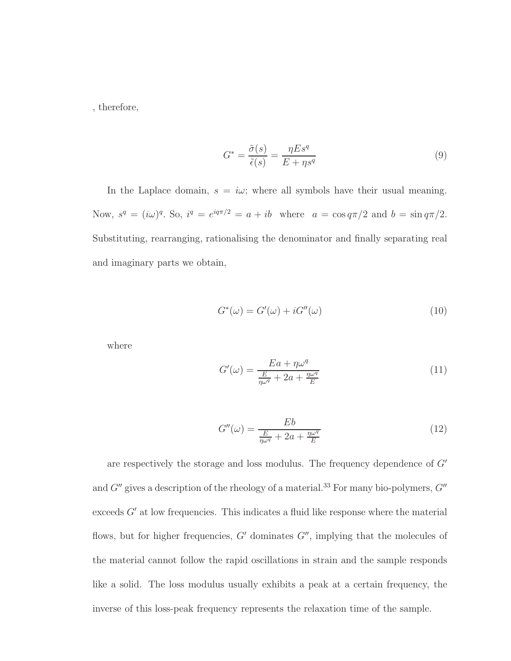, therefore,

$$
G^* = \frac{\tilde{\sigma}(s)}{\tilde{\epsilon}(s)} = \frac{\eta E s^q}{E + \eta s^q}
$$
\n<sup>(9)</sup>

In the Laplace domain,  $s = i\omega$ ; where all symbols have their usual meaning. Now,  $s^q = (i\omega)^q$ . So,  $i^q = e^{iq\pi/2} = a + ib$  where  $a = \cos q\pi/2$  and  $b = \sin q\pi/2$ . Substituting, rearranging, rationalising the denominator and finally separating real and imaginary parts we obtain,

$$
G^*(\omega) = G'(\omega) + iG''(\omega)
$$
\n(10)

where

$$
G'(\omega) = \frac{Ea + \eta \omega^q}{\frac{E}{\eta \omega^q} + 2a + \frac{\eta \omega^q}{E}}
$$
\n(11)

$$
G''(\omega) = \frac{Eb}{\frac{E}{\eta\omega^q} + 2a + \frac{\eta\omega^q}{E}}
$$
(12)

are respectively the storage and loss modulus. The frequency dependence of  $G'$ and  $G''$  gives a description of the rheology of a material.<sup>33</sup> For many bio-polymers,  $G''$ exceeds  $G'$  at low frequencies. This indicates a fluid like response where the material flows, but for higher frequencies,  $G'$  dominates  $G''$ , implying that the molecules of the material cannot follow the rapid oscillations in strain and the sample responds like a solid. The loss modulus usually exhibits a peak at a certain frequency, the inverse of this loss-peak frequency represents the relaxation time of the sample.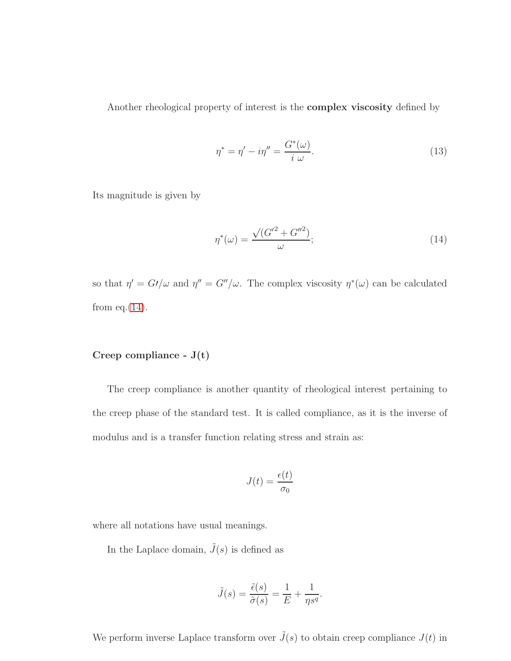Another rheological property of interest is the complex viscosity defined by

$$
\eta^* = \eta' - i\eta'' = \frac{G^*(\omega)}{i \ \omega}.
$$
\n(13)

Its magnitude is given by

<span id="page-13-0"></span>
$$
\eta^*(\omega) = \frac{\sqrt{(G^{\prime 2} + G^{\prime\prime 2})}}{\omega};\tag{14}
$$

so that  $\eta' = G'/\omega$  and  $\eta'' = G''/\omega$ . The complex viscosity  $\eta^*(\omega)$  can be calculated from eq. $(14)$ .

## Creep compliance - J(t)

The creep compliance is another quantity of rheological interest pertaining to the creep phase of the standard test. It is called compliance, as it is the inverse of modulus and is a transfer function relating stress and strain as:

$$
J(t) = \frac{\epsilon(t)}{\sigma_0}
$$

where all notations have usual meanings.

In the Laplace domain,  $\tilde{J}(s)$  is defined as

$$
\tilde{J}(s) = \frac{\tilde{\epsilon}(s)}{\tilde{\sigma}(s)} = \frac{1}{E} + \frac{1}{\eta s^q}.
$$

We perform inverse Laplace transform over  $\tilde{J}(s)$  to obtain creep compliance  $J(t)$  in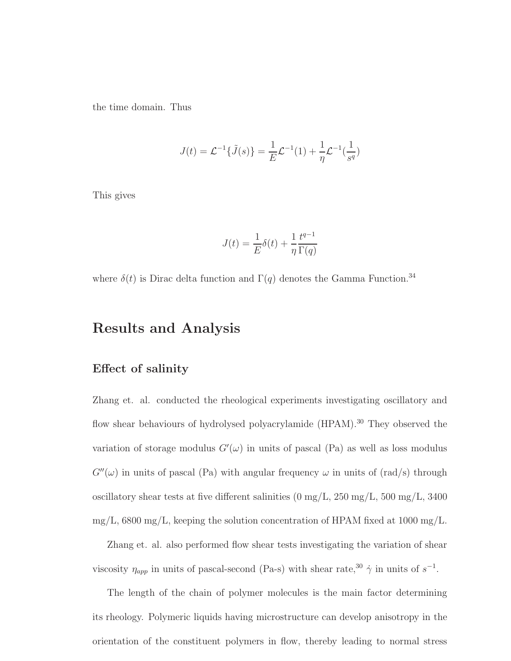the time domain. Thus

$$
J(t) = \mathcal{L}^{-1}\{\tilde{J}(s)\} = \frac{1}{E}\mathcal{L}^{-1}(1) + \frac{1}{\eta}\mathcal{L}^{-1}(\frac{1}{s^q})
$$

This gives

$$
J(t) = \frac{1}{E}\delta(t) + \frac{1}{\eta} \frac{t^{q-1}}{\Gamma(q)}
$$

where  $\delta(t)$  is Dirac delta function and  $\Gamma(q)$  denotes the Gamma Function.<sup>34</sup>

## Results and Analysis

### Effect of salinity

Zhang et. al. conducted the rheological experiments investigating oscillatory and flow shear behaviours of hydrolysed polyacrylamide (HPAM).<sup>30</sup> They observed the variation of storage modulus  $G'(\omega)$  in units of pascal (Pa) as well as loss modulus  $G''(\omega)$  in units of pascal (Pa) with angular frequency  $\omega$  in units of (rad/s) through oscillatory shear tests at five different salinities (0 mg/L, 250 mg/L, 500 mg/L, 3400  $mg/L$ , 6800 mg/L, keeping the solution concentration of HPAM fixed at 1000 mg/L.

Zhang et. al. also performed flow shear tests investigating the variation of shear viscosity  $\eta_{app}$  in units of pascal-second (Pa-s) with shear rate,<sup>30</sup>  $\dot{\gamma}$  in units of  $s^{-1}$ .

The length of the chain of polymer molecules is the main factor determining its rheology. Polymeric liquids having microstructure can develop anisotropy in the orientation of the constituent polymers in flow, thereby leading to normal stress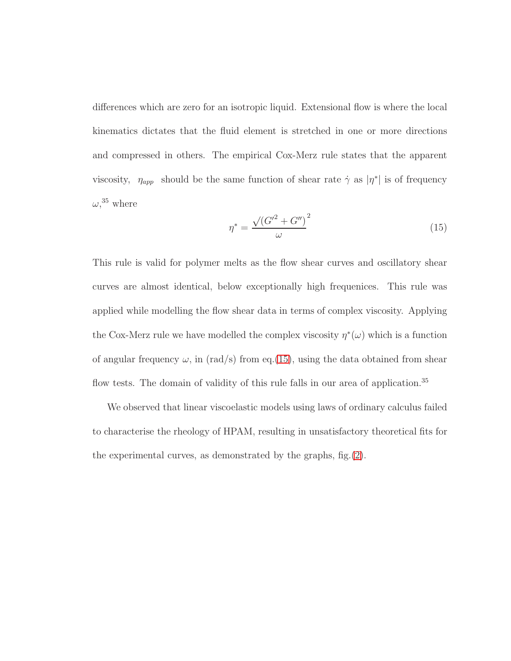differences which are zero for an isotropic liquid. Extensional flow is where the local kinematics dictates that the fluid element is stretched in one or more directions and compressed in others. The empirical Cox-Merz rule states that the apparent viscosity,  $\eta_{app}$  should be the same function of shear rate  $\dot{\gamma}$  as  $|\eta^*|$  is of frequency  $\omega$ <sup>35</sup>, where

<span id="page-15-0"></span>
$$
\eta^* = \frac{\sqrt{\left(G'^2 + G''\right)^2}}{\omega} \tag{15}
$$

This rule is valid for polymer melts as the flow shear curves and oscillatory shear curves are almost identical, below exceptionally high frequenices. This rule was applied while modelling the flow shear data in terms of complex viscosity. Applying the Cox-Merz rule we have modelled the complex viscosity  $\eta^*(\omega)$  which is a function of angular frequency  $\omega$ , in (rad/s) from eq.[\(15\)](#page-15-0), using the data obtained from shear flow tests. The domain of validity of this rule falls in our area of application.<sup>35</sup>

We observed that linear viscoelastic models using laws of ordinary calculus failed to characterise the rheology of HPAM, resulting in unsatisfactory theoretical fits for the experimental curves, as demonstrated by the graphs, fig.[\(2\)](#page-16-0).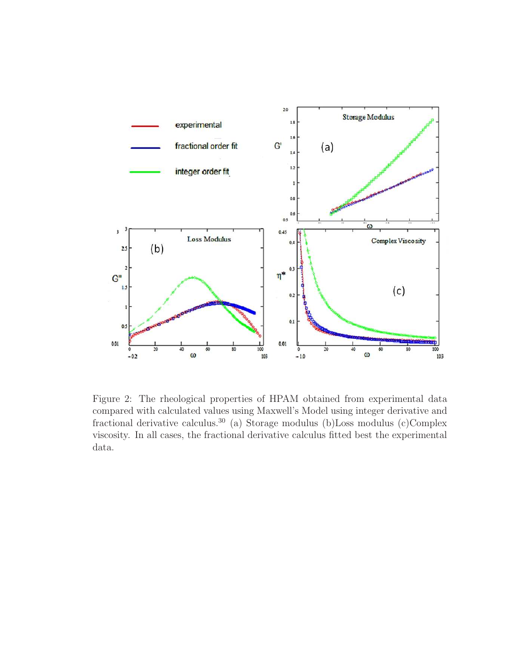

<span id="page-16-0"></span>Figure 2: The rheological properties of HPAM obtained from experimental data compared with calculated values using Maxwell's Model using integer derivative and fractional derivative calculus.<sup>30</sup> (a) Storage modulus (b)Loss modulus (c)Complex viscosity. In all cases, the fractional derivative calculus fitted best the experimental data.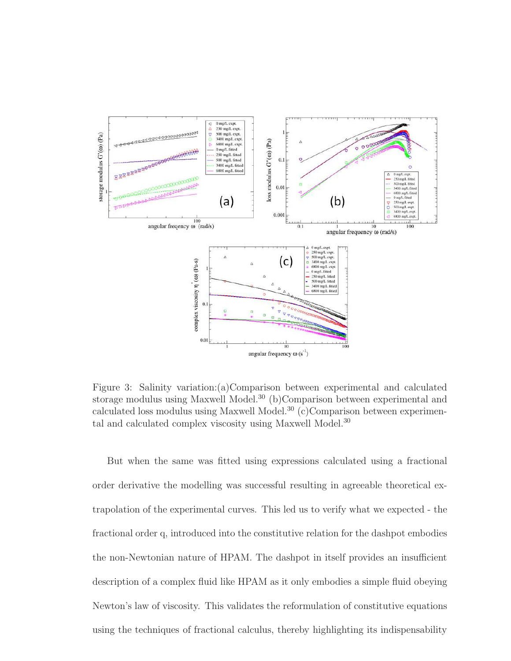

<span id="page-17-0"></span>Figure 3: Salinity variation:(a)Comparison between experimental and calculated storage modulus using Maxwell Model.<sup>30</sup> (b)Comparison between experimental and calculated loss modulus using Maxwell Model.<sup>30</sup> (c)Comparison between experimental and calculated complex viscosity using Maxwell Model.<sup>30</sup>

But when the same was fitted using expressions calculated using a fractional order derivative the modelling was successful resulting in agreeable theoretical extrapolation of the experimental curves. This led us to verify what we expected - the fractional order q, introduced into the constitutive relation for the dashpot embodies the non-Newtonian nature of HPAM. The dashpot in itself provides an insufficient description of a complex fluid like HPAM as it only embodies a simple fluid obeying Newton's law of viscosity. This validates the reformulation of constitutive equations using the techniques of fractional calculus, thereby highlighting its indispensability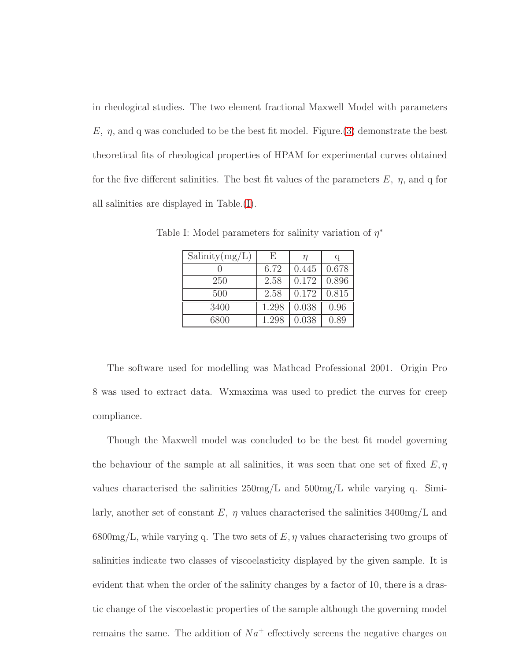in rheological studies. The two element fractional Maxwell Model with parameters E,  $\eta$ , and q was concluded to be the best fit model. Figure. [\(3\)](#page-17-0) demonstrate the best theoretical fits of rheological properties of HPAM for experimental curves obtained for the five different salinities. The best fit values of the parameters  $E$ ,  $\eta$ , and q for all salinities are displayed in Table.[\(I\)](#page-18-0).

<span id="page-18-0"></span>

| $S_{\text{alinity}(mg/L)}$ | F,    |       |       |
|----------------------------|-------|-------|-------|
|                            | 6.72  | 0.445 | 0.678 |
| 250                        | 2.58  | 0.172 | 0.896 |
| 500                        | 2.58  | 0.172 | 0.815 |
| 3400                       | 1.298 | 0.038 | 0.96  |
| 6800                       | 1.298 | 0.038 | 0.89  |

Table I: Model parameters for salinity variation of  $\eta^*$ 

The software used for modelling was Mathcad Professional 2001. Origin Pro 8 was used to extract data. Wxmaxima was used to predict the curves for creep compliance.

Though the Maxwell model was concluded to be the best fit model governing the behaviour of the sample at all salinities, it was seen that one set of fixed  $E, \eta$ values characterised the salinities  $250 \text{mg/L}$  and  $500 \text{mg/L}$  while varying q. Similarly, another set of constant  $E$ ,  $\eta$  values characterised the salinities 3400mg/L and  $6800mg/L$ , while varying q. The two sets of E,  $\eta$  values characterising two groups of salinities indicate two classes of viscoelasticity displayed by the given sample. It is evident that when the order of the salinity changes by a factor of 10, there is a drastic change of the viscoelastic properties of the sample although the governing model remains the same. The addition of  $Na<sup>+</sup>$  effectively screens the negative charges on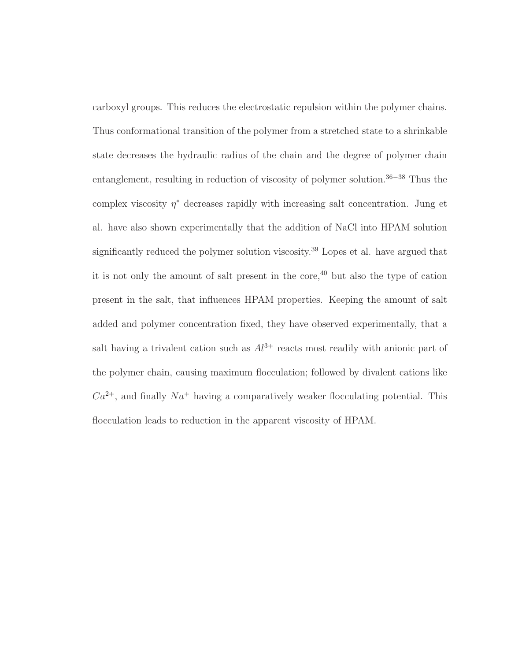carboxyl groups. This reduces the electrostatic repulsion within the polymer chains. Thus conformational transition of the polymer from a stretched state to a shrinkable state decreases the hydraulic radius of the chain and the degree of polymer chain entanglement, resulting in reduction of viscosity of polymer solution. <sup>36</sup>−<sup>38</sup> Thus the complex viscosity  $\eta^*$  decreases rapidly with increasing salt concentration. Jung et al. have also shown experimentally that the addition of NaCl into HPAM solution significantly reduced the polymer solution viscosity.<sup>39</sup> Lopes et al. have argued that it is not only the amount of salt present in the core, $40$  but also the type of cation present in the salt, that influences HPAM properties. Keeping the amount of salt added and polymer concentration fixed, they have observed experimentally, that a salt having a trivalent cation such as  $Al^{3+}$  reacts most readily with anionic part of the polymer chain, causing maximum flocculation; followed by divalent cations like  $Ca^{2+}$ , and finally  $Na^{+}$  having a comparatively weaker flocculating potential. This flocculation leads to reduction in the apparent viscosity of HPAM.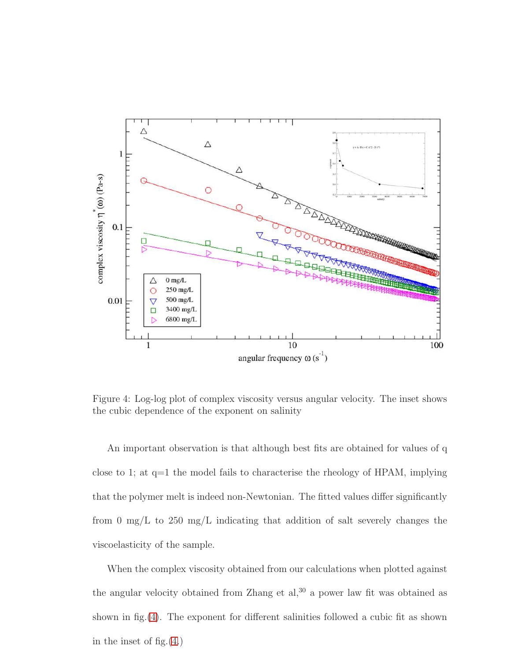

<span id="page-20-0"></span>Figure 4: Log-log plot of complex viscosity versus angular velocity. The inset shows the cubic dependence of the exponent on salinity

An important observation is that although best fits are obtained for values of q close to 1; at q=1 the model fails to characterise the rheology of HPAM, implying that the polymer melt is indeed non-Newtonian. The fitted values differ significantly from 0 mg/L to 250 mg/L indicating that addition of salt severely changes the viscoelasticity of the sample.

When the complex viscosity obtained from our calculations when plotted against the angular velocity obtained from Zhang et  $al$ ,  $30$  a power law fit was obtained as shown in fig.[\(4\)](#page-20-0). The exponent for different salinities followed a cubic fit as shown in the inset of fig.[\(4.](#page-20-0))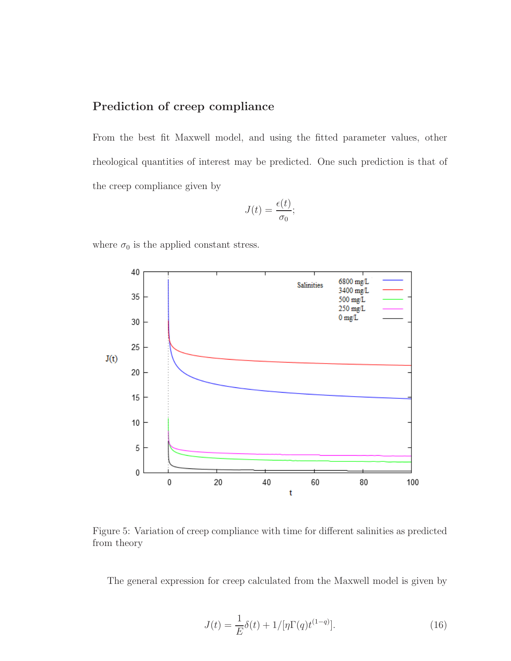## Prediction of creep compliance

From the best fit Maxwell model, and using the fitted parameter values, other rheological quantities of interest may be predicted. One such prediction is that of the creep compliance given by

$$
J(t) = \frac{\epsilon(t)}{\sigma_0};
$$

where  $\sigma_0$  is the applied constant stress.



<span id="page-21-1"></span>Figure 5: Variation of creep compliance with time for different salinities as predicted from theory

The general expression for creep calculated from the Maxwell model is given by

<span id="page-21-0"></span>
$$
J(t) = \frac{1}{E}\delta(t) + 1/[\eta \Gamma(q) t^{(1-q)}].
$$
\n(16)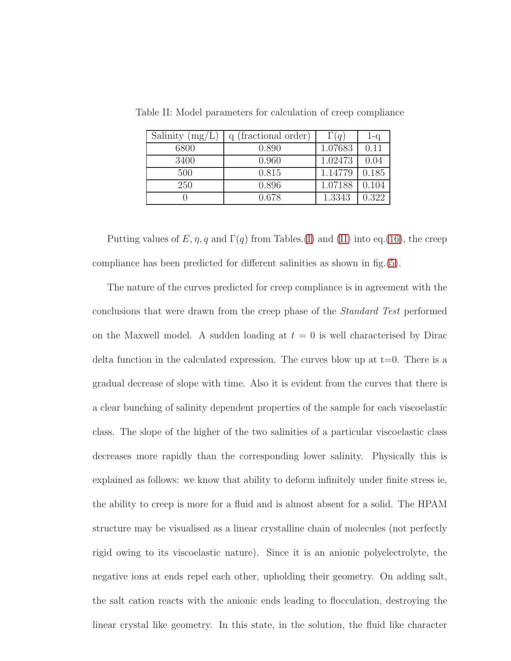<span id="page-22-0"></span>

| Salinity $(mg/L)$ | (fractional order) | $\Gamma(q)$ | $1 - q$ |
|-------------------|--------------------|-------------|---------|
| 6800              | 0.890              | 1.07683     | 0.11    |
| 3400              | 0.960              | 1.02473     | 0.04    |
| 500               | 0.815              | 1.14779     | 0.185   |
| 250               | 0.896              | 1.07188     | 0.104   |
|                   | 0.678              | 1.3343      | 0.322   |

Table II: Model parameters for calculation of creep compliance

Putting values of  $E, \eta, q$  and  $\Gamma(q)$  from Tables.[\(I\)](#page-18-0) and [\(II\)](#page-22-0) into eq.[\(16\)](#page-21-0), the creep compliance has been predicted for different salinities as shown in fig.[\(5\)](#page-21-1).

The nature of the curves predicted for creep compliance is in agreement with the conclusions that were drawn from the creep phase of the *Standard Test* performed on the Maxwell model. A sudden loading at  $t = 0$  is well characterised by Dirac delta function in the calculated expression. The curves blow up at  $t=0$ . There is a gradual decrease of slope with time. Also it is evident from the curves that there is a clear bunching of salinity dependent properties of the sample for each viscoelastic class. The slope of the higher of the two salinities of a particular viscoelastic class decreases more rapidly than the corresponding lower salinity. Physically this is explained as follows: we know that ability to deform infinitely under finite stress ie, the ability to creep is more for a fluid and is almost absent for a solid. The HPAM structure may be visualised as a linear crystalline chain of molecules (not perfectly rigid owing to its viscoelastic nature). Since it is an anionic polyelectrolyte, the negative ions at ends repel each other, upholding their geometry. On adding salt, the salt cation reacts with the anionic ends leading to flocculation, destroying the linear crystal like geometry. In this state, in the solution, the fluid like character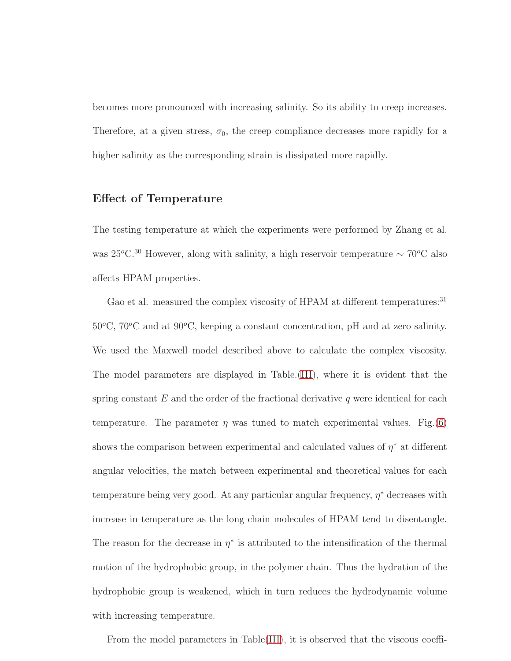becomes more pronounced with increasing salinity. So its ability to creep increases. Therefore, at a given stress,  $\sigma_0$ , the creep compliance decreases more rapidly for a higher salinity as the corresponding strain is dissipated more rapidly.

#### Effect of Temperature

The testing temperature at which the experiments were performed by Zhang et al. was 25 $^{\circ}$ C.<sup>30</sup> However, along with salinity, a high reservoir temperature ∼ 70 $^{\circ}$ C also affects HPAM properties.

Gao et al. measured the complex viscosity of HPAM at different temperatures:<sup>31</sup>  $50^{\circ}$ C,  $70^{\circ}$ C and at  $90^{\circ}$ C, keeping a constant concentration, pH and at zero salinity. We used the Maxwell model described above to calculate the complex viscosity. The model parameters are displayed in Table.[\(III\)](#page-25-0), where it is evident that the spring constant  $E$  and the order of the fractional derivative q were identical for each temperature. The parameter  $\eta$  was tuned to match experimental values. Fig.[\(6\)](#page-24-0) shows the comparison between experimental and calculated values of  $\eta^*$  at different angular velocities, the match between experimental and theoretical values for each temperature being very good. At any particular angular frequency,  $\eta^*$  decreases with increase in temperature as the long chain molecules of HPAM tend to disentangle. The reason for the decrease in  $\eta^*$  is attributed to the intensification of the thermal motion of the hydrophobic group, in the polymer chain. Thus the hydration of the hydrophobic group is weakened, which in turn reduces the hydrodynamic volume with increasing temperature.

From the model parameters in Table[\(III\)](#page-25-0), it is observed that the viscous coeffi-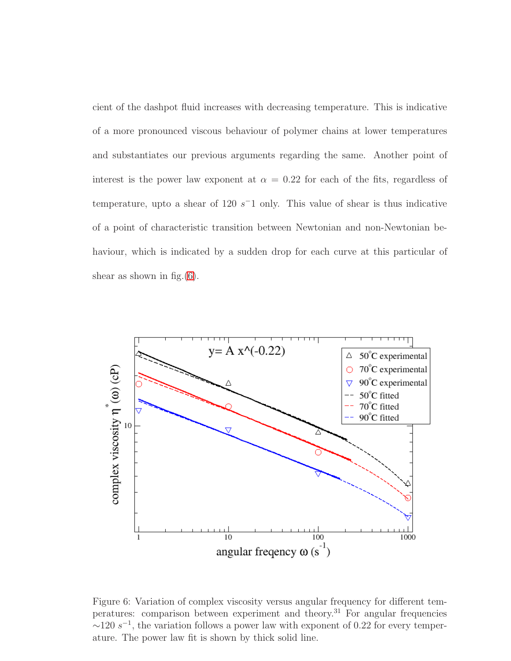cient of the dashpot fluid increases with decreasing temperature. This is indicative of a more pronounced viscous behaviour of polymer chains at lower temperatures and substantiates our previous arguments regarding the same. Another point of interest is the power law exponent at  $\alpha = 0.22$  for each of the fits, regardless of temperature, upto a shear of 120  $s^-1$  only. This value of shear is thus indicative of a point of characteristic transition between Newtonian and non-Newtonian behaviour, which is indicated by a sudden drop for each curve at this particular of shear as shown in fig. $(6)$ .



<span id="page-24-0"></span>Figure 6: Variation of complex viscosity versus angular frequency for different temperatures: comparison between experiment and theory.<sup>31</sup> For angular frequencies  $\sim$ 120 s<sup>-1</sup>, the variation follows a power law with exponent of 0.22 for every temperature. The power law fit is shown by thick solid line.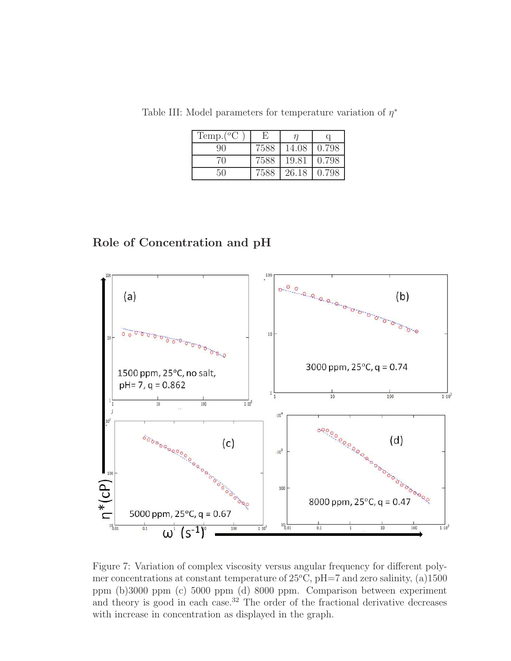<span id="page-25-0"></span>

| Temp. $(^oC)$ |      |       |       |
|---------------|------|-------|-------|
| 90            | 7588 | 14.08 | 0.798 |
| 70            | 7588 | 19.81 | 0.798 |
| 50            | 7588 | 26.18 | 0.798 |

Table III: Model parameters for temperature variation of  $\eta^*$ 

## Role of Concentration and pH



<span id="page-25-1"></span>Figure 7: Variation of complex viscosity versus angular frequency for different polymer concentrations at constant temperature of  $25^{\circ}$ C, pH=7 and zero salinity, (a)1500 ppm (b)3000 ppm (c) 5000 ppm (d) 8000 ppm. Comparison between experiment and theory is good in each case.<sup>32</sup> The order of the fractional derivative decreases with increase in concentration as displayed in the graph.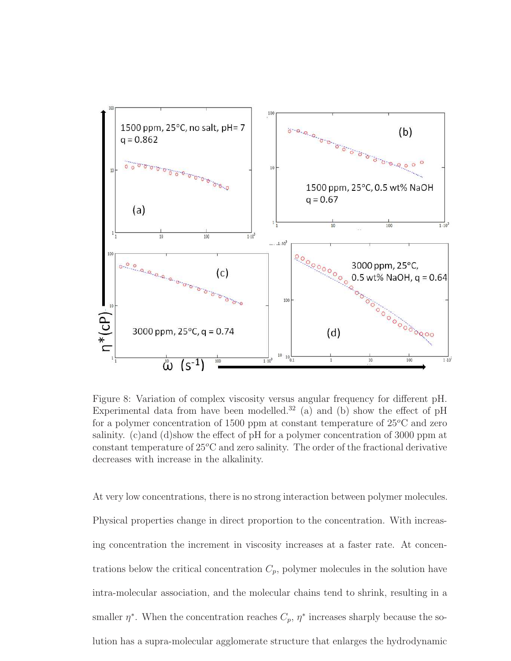

<span id="page-26-0"></span>Figure 8: Variation of complex viscosity versus angular frequency for different pH. Experimental data from have been modelled.<sup>32</sup> (a) and (b) show the effect of pH for a polymer concentration of 1500 ppm at constant temperature of  $25^{\circ}$ C and zero salinity. (c)and (d)show the effect of pH for a polymer concentration of 3000 ppm at constant temperature of  $25^{\circ}$ C and zero salinity. The order of the fractional derivative decreases with increase in the alkalinity.

At very low concentrations, there is no strong interaction between polymer molecules. Physical properties change in direct proportion to the concentration. With increasing concentration the increment in viscosity increases at a faster rate. At concentrations below the critical concentration  $C_p$ , polymer molecules in the solution have intra-molecular association, and the molecular chains tend to shrink, resulting in a smaller  $\eta^*$ . When the concentration reaches  $C_p$ ,  $\eta^*$  increases sharply because the solution has a supra-molecular agglomerate structure that enlarges the hydrodynamic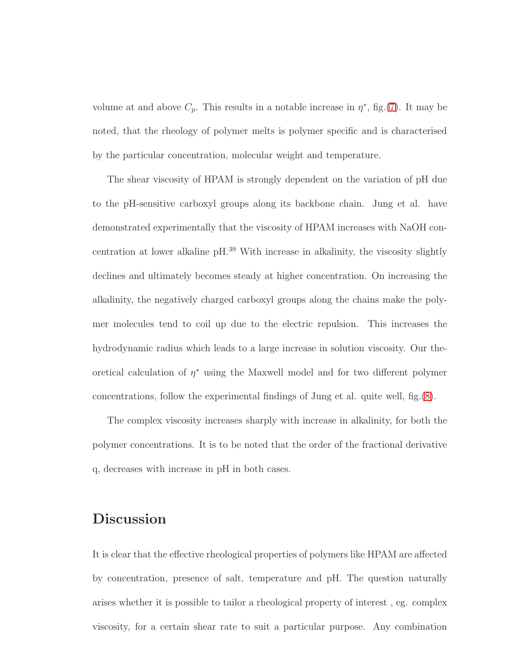volume at and above  $C_p$ . This results in a notable increase in  $\eta^*$ , fig.[\(7\)](#page-25-1). It may be noted, that the rheology of polymer melts is polymer specific and is characterised by the particular concentration, molecular weight and temperature.

The shear viscosity of HPAM is strongly dependent on the variation of pH due to the pH-sensitive carboxyl groups along its backbone chain. Jung et al. have demonstrated experimentally that the viscosity of HPAM increases with NaOH concentration at lower alkaline pH.<sup>39</sup> With increase in alkalinity, the viscosity slightly declines and ultimately becomes steady at higher concentration. On increasing the alkalinity, the negatively charged carboxyl groups along the chains make the polymer molecules tend to coil up due to the electric repulsion. This increases the hydrodynamic radius which leads to a large increase in solution viscosity. Our theoretical calculation of  $\eta^*$  using the Maxwell model and for two different polymer concentrations, follow the experimental findings of Jung et al. quite well, fig.[\(8\)](#page-26-0).

The complex viscosity increases sharply with increase in alkalinity, for both the polymer concentrations. It is to be noted that the order of the fractional derivative q, decreases with increase in pH in both cases.

# Discussion

It is clear that the effective rheological properties of polymers like HPAM are affected by concentration, presence of salt, temperature and pH. The question naturally arises whether it is possible to tailor a rheological property of interest , eg. complex viscosity, for a certain shear rate to suit a particular purpose. Any combination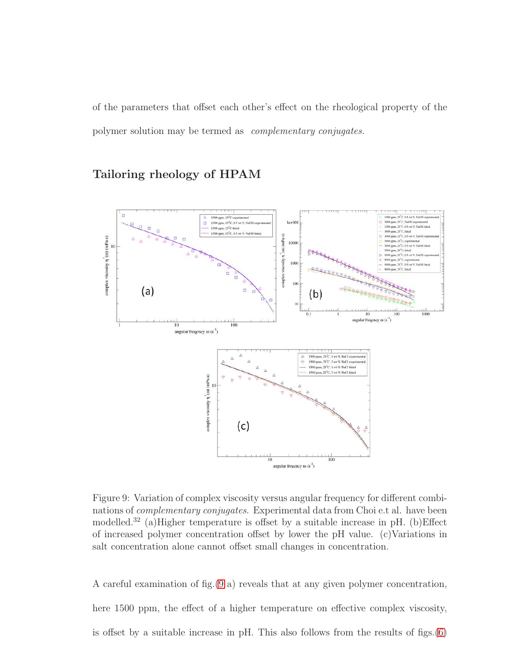of the parameters that offset each other's effect on the rheological property of the polymer solution may be termed as *complementary conjugates.*

## Tailoring rheology of HPAM



<span id="page-28-0"></span>Figure 9: Variation of complex viscosity versus angular frequency for different combinations of *complementary conjugates*. Experimental data from Choi e.t al. have been modelled.<sup>32</sup> (a)Higher temperature is offset by a suitable increase in pH. (b)Effect of increased polymer concentration offset by lower the pH value. (c)Variations in salt concentration alone cannot offset small changes in concentration.

A careful examination of fig.[\(9](#page-28-0) a) reveals that at any given polymer concentration, here 1500 ppm, the effect of a higher temperature on effective complex viscosity, is offset by a suitable increase in pH. This also follows from the results of figs.[\(6\)](#page-24-0)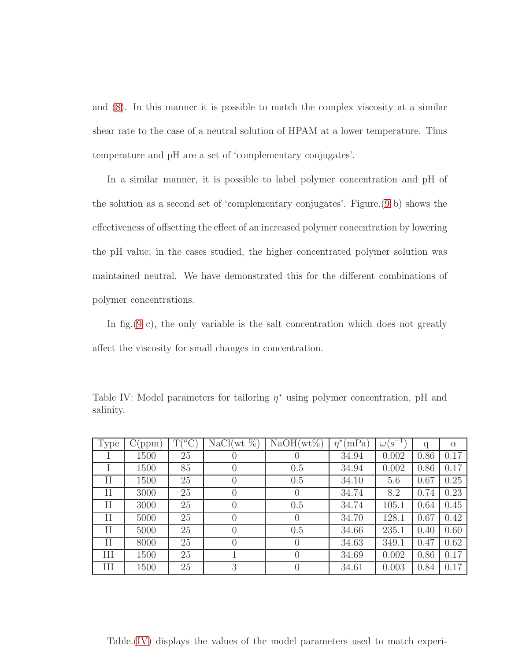and [\(8\)](#page-26-0). In this manner it is possible to match the complex viscosity at a similar shear rate to the case of a neutral solution of HPAM at a lower temperature. Thus temperature and pH are a set of 'complementary conjugates'.

In a similar manner, it is possible to label polymer concentration and pH of the solution as a second set of 'complementary conjugates'. Figure.[\(9](#page-28-0) b) shows the effectiveness of offsetting the effect of an increased polymer concentration by lowering the pH value; in the cases studied, the higher concentrated polymer solution was maintained neutral. We have demonstrated this for the different combinations of polymer concentrations.

In fig.  $(9 \text{ c})$  $(9 \text{ c})$ , the only variable is the salt concentration which does not greatly affect the viscosity for small changes in concentration.

| <b>Type</b> | (ppm) | $T({}^oC)$ | $NaCl(wt \%)$    | $NaOH(wt\%)$     | $\eta^*$<br>(mPa) | $\sigma(s^{-1})$<br>$\omega($ | q    | $\alpha$ |
|-------------|-------|------------|------------------|------------------|-------------------|-------------------------------|------|----------|
|             | 1500  | 25         | U                |                  | 34.94             | 0.002                         | 0.86 | 0.17     |
|             | 1500  | 85         | $\left( \right)$ | 0.5              | 34.94             | 0.002                         | 0.86 | 0.17     |
| Π           | 1500  | 25         | 0                | 0.5              | 34.10             | 5.6                           | 0.67 | 0.25     |
| $_{\rm II}$ | 3000  | 25         | $\left( \right)$ |                  | 34.74             | 8.2                           | 0.74 | 0.23     |
| Н           | 3000  | 25         | $\left( \right)$ | 0.5              | 34.74             | 105.1                         | 0.64 | 0.45     |
| П           | 5000  | 25         | $\left( \right)$ |                  | 34.70             | 128.1                         | 0.67 | 0.42     |
| Н           | 5000  | 25         | $\theta$         | 0.5              | 34.66             | 235.1                         | 0.40 | 0.60     |
| Н           | 8000  | 25         | $\Omega$         |                  | 34.63             | 349.1                         | 0.47 | 0.62     |
| Ш           | 1500  | 25         |                  | $\left( \right)$ | 34.69             | 0.002                         | 0.86 | 0.17     |
| Ш           | 1500  | 25         | 3                |                  | 34.61             | 0.003                         | 0.84 | 0.17     |

<span id="page-29-0"></span>Table IV: Model parameters for tailoring  $\eta^*$  using polymer concentration, pH and salinity.

Table.[\(IV\)](#page-29-0) displays the values of the model parameters used to match experi-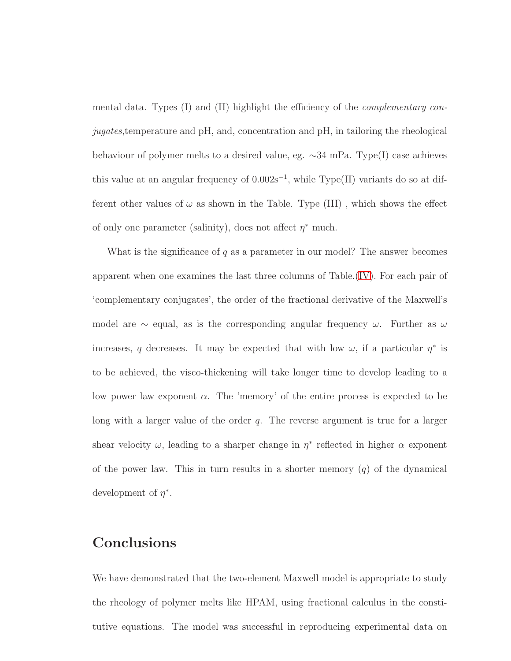mental data. Types (I) and (II) highlight the efficiency of the *complementary conjugates*,temperature and pH, and, concentration and pH, in tailoring the rheological behaviour of polymer melts to a desired value, eg. ∼34 mPa. Type(I) case achieves this value at an angular frequency of  $0.002s^{-1}$ , while Type(II) variants do so at different other values of  $\omega$  as shown in the Table. Type (III), which shows the effect of only one parameter (salinity), does not affect  $\eta^*$  much.

What is the significance of  $q$  as a parameter in our model? The answer becomes apparent when one examines the last three columns of Table.[\(IV\)](#page-29-0). For each pair of 'complementary conjugates', the order of the fractional derivative of the Maxwell's model are  $\sim$  equal, as is the corresponding angular frequency  $\omega$ . Further as  $\omega$ increases, q decreases. It may be expected that with low  $\omega$ , if a particular  $\eta^*$  is to be achieved, the visco-thickening will take longer time to develop leading to a low power law exponent  $\alpha$ . The 'memory' of the entire process is expected to be long with a larger value of the order  $q$ . The reverse argument is true for a larger shear velocity  $\omega$ , leading to a sharper change in  $\eta^*$  reflected in higher  $\alpha$  exponent of the power law. This in turn results in a shorter memory  $(q)$  of the dynamical development of  $\eta^*$ .

# Conclusions

We have demonstrated that the two-element Maxwell model is appropriate to study the rheology of polymer melts like HPAM, using fractional calculus in the constitutive equations. The model was successful in reproducing experimental data on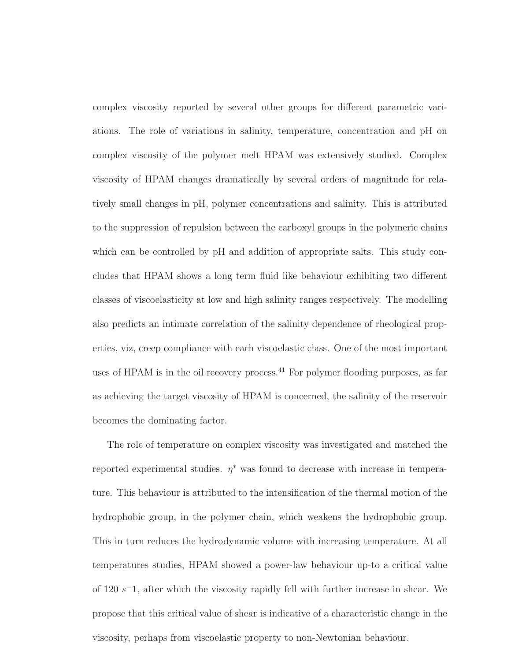complex viscosity reported by several other groups for different parametric variations. The role of variations in salinity, temperature, concentration and pH on complex viscosity of the polymer melt HPAM was extensively studied. Complex viscosity of HPAM changes dramatically by several orders of magnitude for relatively small changes in pH, polymer concentrations and salinity. This is attributed to the suppression of repulsion between the carboxyl groups in the polymeric chains which can be controlled by  $pH$  and addition of appropriate salts. This study concludes that HPAM shows a long term fluid like behaviour exhibiting two different classes of viscoelasticity at low and high salinity ranges respectively. The modelling also predicts an intimate correlation of the salinity dependence of rheological properties, viz, creep compliance with each viscoelastic class. One of the most important uses of HPAM is in the oil recovery process.<sup>41</sup> For polymer flooding purposes, as far as achieving the target viscosity of HPAM is concerned, the salinity of the reservoir becomes the dominating factor.

The role of temperature on complex viscosity was investigated and matched the reported experimental studies.  $\eta^*$  was found to decrease with increase in temperature. This behaviour is attributed to the intensification of the thermal motion of the hydrophobic group, in the polymer chain, which weakens the hydrophobic group. This in turn reduces the hydrodynamic volume with increasing temperature. At all temperatures studies, HPAM showed a power-law behaviour up-to a critical value of 120 s<sup>-</sup>1, after which the viscosity rapidly fell with further increase in shear. We propose that this critical value of shear is indicative of a characteristic change in the viscosity, perhaps from viscoelastic property to non-Newtonian behaviour.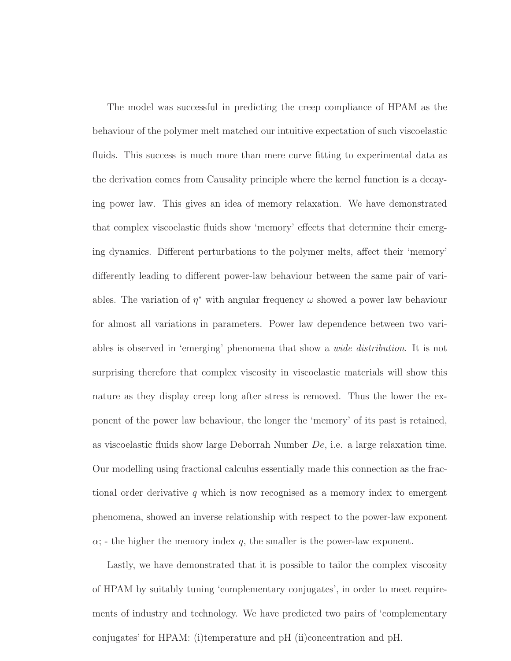The model was successful in predicting the creep compliance of HPAM as the behaviour of the polymer melt matched our intuitive expectation of such viscoelastic fluids. This success is much more than mere curve fitting to experimental data as the derivation comes from Causality principle where the kernel function is a decaying power law. This gives an idea of memory relaxation. We have demonstrated that complex viscoelastic fluids show 'memory' effects that determine their emerging dynamics. Different perturbations to the polymer melts, affect their 'memory' differently leading to different power-law behaviour between the same pair of variables. The variation of  $\eta^*$  with angular frequency  $\omega$  showed a power law behaviour for almost all variations in parameters. Power law dependence between two variables is observed in 'emerging' phenomena that show a *wide distribution*. It is not surprising therefore that complex viscosity in viscoelastic materials will show this nature as they display creep long after stress is removed. Thus the lower the exponent of the power law behaviour, the longer the 'memory' of its past is retained, as viscoelastic fluids show large Deborrah Number De, i.e. a large relaxation time. Our modelling using fractional calculus essentially made this connection as the fractional order derivative q which is now recognised as a memory index to emergent phenomena, showed an inverse relationship with respect to the power-law exponent  $\alpha$ ; - the higher the memory index q, the smaller is the power-law exponent.

Lastly, we have demonstrated that it is possible to tailor the complex viscosity of HPAM by suitably tuning 'complementary conjugates', in order to meet requirements of industry and technology. We have predicted two pairs of 'complementary conjugates' for HPAM: (i)temperature and pH (ii)concentration and pH.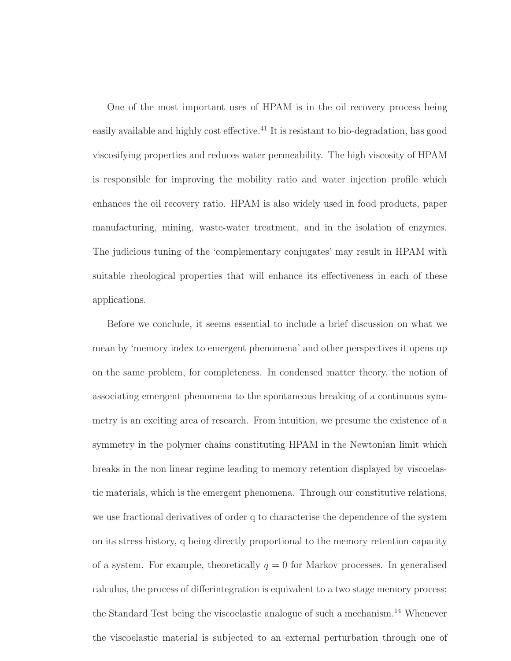One of the most important uses of HPAM is in the oil recovery process being easily available and highly cost effective.<sup>41</sup> It is resistant to bio-degradation, has good viscosifying properties and reduces water permeability. The high viscosity of HPAM is responsible for improving the mobility ratio and water injection profile which enhances the oil recovery ratio. HPAM is also widely used in food products, paper manufacturing, mining, waste-water treatment, and in the isolation of enzymes. The judicious tuning of the 'complementary conjugates' may result in HPAM with suitable rheological properties that will enhance its effectiveness in each of these applications.

Before we conclude, it seems essential to include a brief discussion on what we mean by 'memory index to emergent phenomena' and other perspectives it opens up on the same problem, for completeness. In condensed matter theory, the notion of associating emergent phenomena to the spontaneous breaking of a continuous symmetry is an exciting area of research. From intuition, we presume the existence of a symmetry in the polymer chains constituting HPAM in the Newtonian limit which breaks in the non linear regime leading to memory retention displayed by viscoelastic materials, which is the emergent phenomena. Through our constitutive relations, we use fractional derivatives of order q to characterise the dependence of the system on its stress history, q being directly proportional to the memory retention capacity of a system. For example, theoretically  $q = 0$  for Markov processes. In generalised calculus, the process of differintegration is equivalent to a two stage memory process; the Standard Test being the viscoelastic analogue of such a mechanism.<sup>14</sup> Whenever the viscoelastic material is subjected to an external perturbation through one of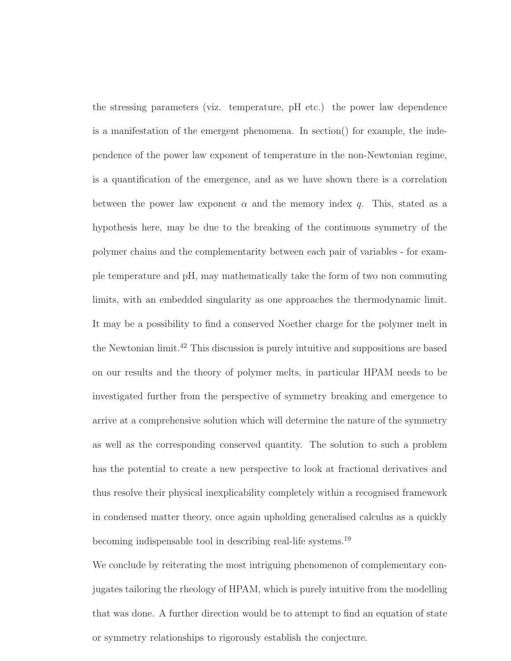the stressing parameters (viz. temperature, pH etc.) the power law dependence is a manifestation of the emergent phenomena. In section() for example, the independence of the power law exponent of temperature in the non-Newtonian regime, is a quantification of the emergence, and as we have shown there is a correlation between the power law exponent  $\alpha$  and the memory index q. This, stated as a hypothesis here, may be due to the breaking of the continuous symmetry of the polymer chains and the complementarity between each pair of variables - for example temperature and pH, may mathematically take the form of two non commuting limits, with an embedded singularity as one approaches the thermodynamic limit. It may be a possibility to find a conserved Noether charge for the polymer melt in the Newtonian limit.<sup>42</sup> This discussion is purely intuitive and suppositions are based on our results and the theory of polymer melts, in particular HPAM needs to be investigated further from the perspective of symmetry breaking and emergence to arrive at a comprehensive solution which will determine the nature of the symmetry as well as the corresponding conserved quantity. The solution to such a problem has the potential to create a new perspective to look at fractional derivatives and thus resolve their physical inexplicability completely within a recognised framework in condensed matter theory, once again upholding generalised calculus as a quickly becoming indispensable tool in describing real-life systems.<sup>19</sup>

We conclude by reiterating the most intriguing phenomenon of complementary conjugates tailoring the rheology of HPAM, which is purely intuitive from the modelling that was done. A further direction would be to attempt to find an equation of state or symmetry relationships to rigorously establish the conjecture.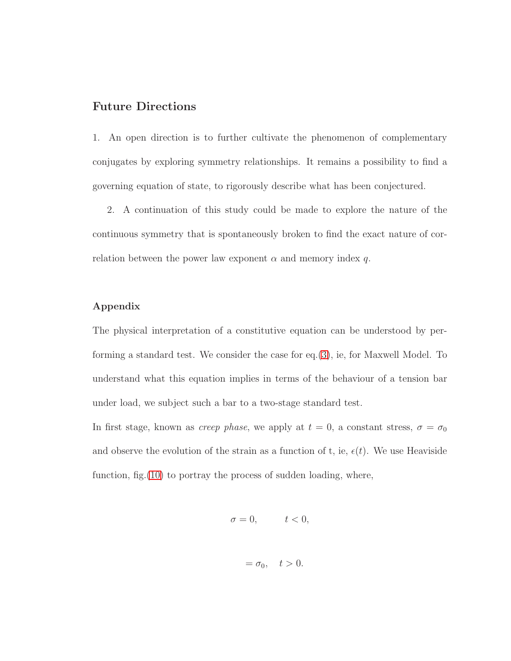### Future Directions

1. An open direction is to further cultivate the phenomenon of complementary conjugates by exploring symmetry relationships. It remains a possibility to find a governing equation of state, to rigorously describe what has been conjectured.

2. A continuation of this study could be made to explore the nature of the continuous symmetry that is spontaneously broken to find the exact nature of correlation between the power law exponent  $\alpha$  and memory index q.

#### Appendix

The physical interpretation of a constitutive equation can be understood by performing a standard test. We consider the case for eq.[\(3\)](#page-8-1), ie, for Maxwell Model. To understand what this equation implies in terms of the behaviour of a tension bar under load, we subject such a bar to a two-stage standard test.

In first stage, known as *creep phase*, we apply at  $t = 0$ , a constant stress,  $\sigma = \sigma_0$ and observe the evolution of the strain as a function of t, ie,  $\epsilon(t)$ . We use Heaviside function, fig.[\(10\)](#page-36-0) to portray the process of sudden loading, where,

$$
\sigma = 0, \qquad \quad t < 0,
$$

$$
=\sigma_0, \quad t>0.
$$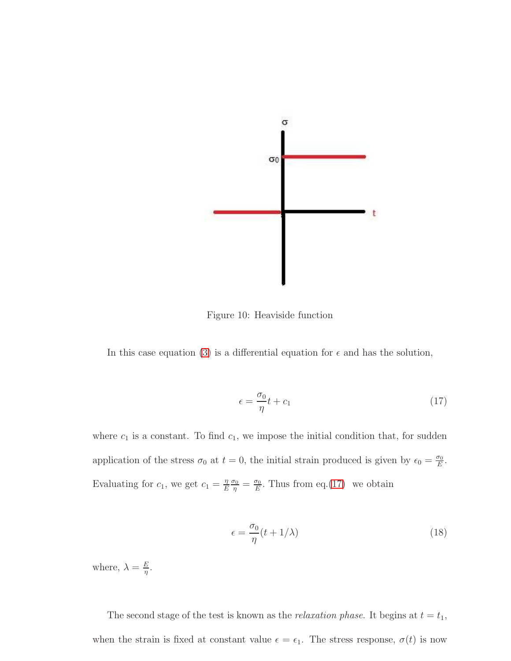

<span id="page-36-0"></span>Figure 10: Heaviside function

In this case equation [\(3\)](#page-8-1) is a differential equation for  $\epsilon$  and has the solution,

<span id="page-36-1"></span>
$$
\epsilon = \frac{\sigma_0}{\eta} t + c_1 \tag{17}
$$

where  $c_1$  is a constant. To find  $c_1$ , we impose the initial condition that, for sudden application of the stress  $\sigma_0$  at  $t=0$ , the initial strain produced is given by  $\epsilon_0 = \frac{\sigma_0}{E}$  $\frac{\sigma_0}{E}$  . Evaluating for  $c_1$ , we get  $c_1 = \frac{\eta}{E}$ E  $\frac{\sigma_0}{\eta} = \frac{\sigma_0}{E}$  $\frac{\sigma_0}{E}$ . Thus from eq.[\(17\)](#page-36-1) we obtain

<span id="page-36-2"></span>
$$
\epsilon = \frac{\sigma_0}{\eta} (t + 1/\lambda) \tag{18}
$$

where,  $\lambda = \frac{E}{n}$  $\frac{E}{\eta}$  .

The second stage of the test is known as the *relaxation phase*. It begins at  $t = t_1$ , when the strain is fixed at constant value  $\epsilon = \epsilon_1$ . The stress response,  $\sigma(t)$  is now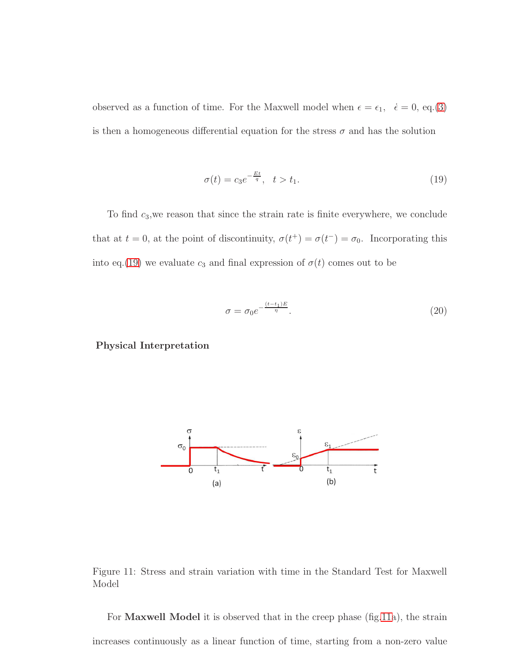observed as a function of time. For the Maxwell model when  $\epsilon = \epsilon_1, \dot{\epsilon} = 0, \text{eq.}(3)$  $\epsilon = \epsilon_1, \dot{\epsilon} = 0, \text{eq.}(3)$ is then a homogeneous differential equation for the stress  $\sigma$  and has the solution

<span id="page-37-0"></span>
$$
\sigma(t) = c_3 e^{-\frac{Et}{q}}, \quad t > t_1. \tag{19}
$$

To find  $c_3$ , we reason that since the strain rate is finite everywhere, we conclude that at  $t = 0$ , at the point of discontinuity,  $\sigma(t^+) = \sigma(t^-) = \sigma_0$ . Incorporating this into eq.[\(19\)](#page-37-0) we evaluate  $c_3$  and final expression of  $\sigma(t)$  comes out to be

$$
\sigma = \sigma_0 e^{-\frac{(t-t_1)E}{\eta}}.\tag{20}
$$

Physical Interpretation



<span id="page-37-1"></span>Figure 11: Stress and strain variation with time in the Standard Test for Maxwell Model

For **Maxwell Model** it is observed that in the creep phase (fig[.11a](#page-37-1)), the strain increases continuously as a linear function of time, starting from a non-zero value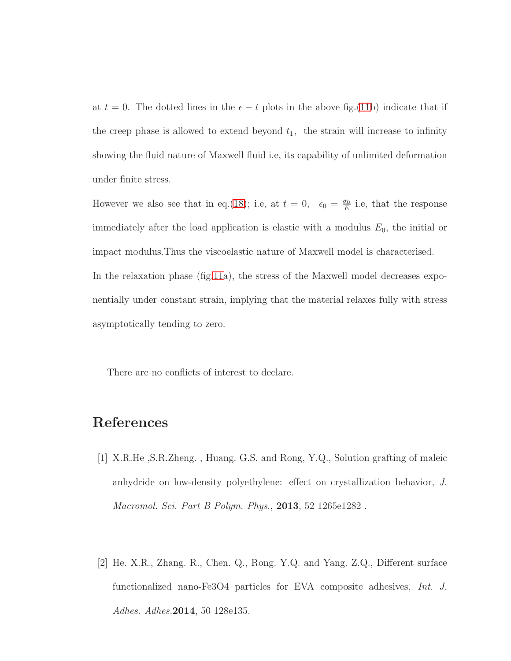at  $t = 0$ . The dotted lines in the  $\epsilon - t$  plots in the above fig.[\(11b](#page-37-1)) indicate that if the creep phase is allowed to extend beyond  $t_1$ , the strain will increase to infinity showing the fluid nature of Maxwell fluid i.e, its capability of unlimited deformation under finite stress.

However we also see that in eq.[\(18\)](#page-36-2); i.e, at  $t = 0$ ,  $\epsilon_0 = \frac{\sigma_0}{E}$  $\frac{\sigma_0}{E}$  i.e, that the response immediately after the load application is elastic with a modulus  $E_0$ , the initial or impact modulus.Thus the viscoelastic nature of Maxwell model is characterised. In the relaxation phase (fig[.11a](#page-37-1)), the stress of the Maxwell model decreases exponentially under constant strain, implying that the material relaxes fully with stress asymptotically tending to zero.

There are no conflicts of interest to declare.

## References

- [1] X.R.He ,S.R.Zheng. , Huang. G.S. and Rong, Y.Q., Solution grafting of maleic anhydride on low-density polyethylene: effect on crystallization behavior, *J. Macromol. Sci. Part B Polym. Phys.*, 2013, 52 1265e1282 .
- [2] He. X.R., Zhang. R., Chen. Q., Rong. Y.Q. and Yang. Z.Q., Different surface functionalized nano-Fe3O4 particles for EVA composite adhesives, *Int. J. Adhes. Adhes.*2014, 50 128e135.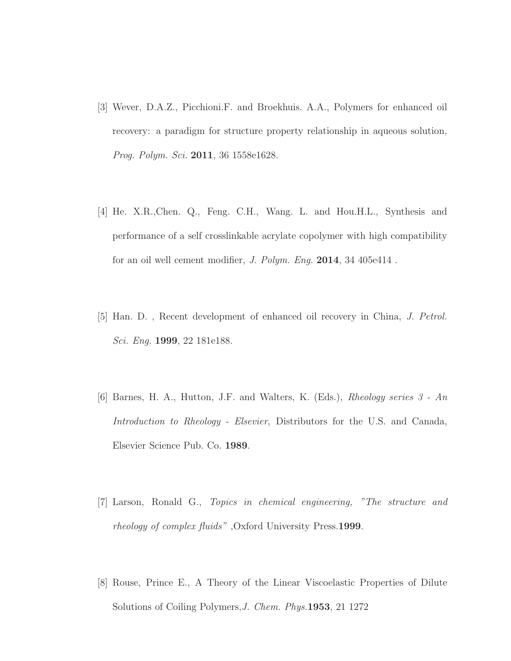- [3] Wever, D.A.Z., Picchioni.F. and Broekhuis. A.A., Polymers for enhanced oil recovery: a paradigm for structure property relationship in aqueous solution, *Prog. Polym. Sci.* 2011, 36 1558e1628.
- [4] He. X.R.,Chen. Q., Feng. C.H., Wang. L. and Hou.H.L., Synthesis and performance of a self crosslinkable acrylate copolymer with high compatibility for an oil well cement modifier, *J. Polym. Eng.* 2014, 34 405e414 .
- [5] Han. D. , Recent development of enhanced oil recovery in China, *J. Petrol. Sci. Eng.* 1999, 22 181e188.
- [6] Barnes, H. A., Hutton, J.F. and Walters, K. (Eds.), *Rheology series 3 An Introduction to Rheology - Elsevier*, Distributors for the U.S. and Canada, Elsevier Science Pub. Co. 1989.
- [7] Larson, Ronald G., *Topics in chemical engineering, "The structure and rheology of complex fluids"* ,Oxford University Press.1999.
- [8] Rouse, Prince E., A Theory of the Linear Viscoelastic Properties of Dilute Solutions of Coiling Polymers,*J. Chem. Phys.*1953, 21 1272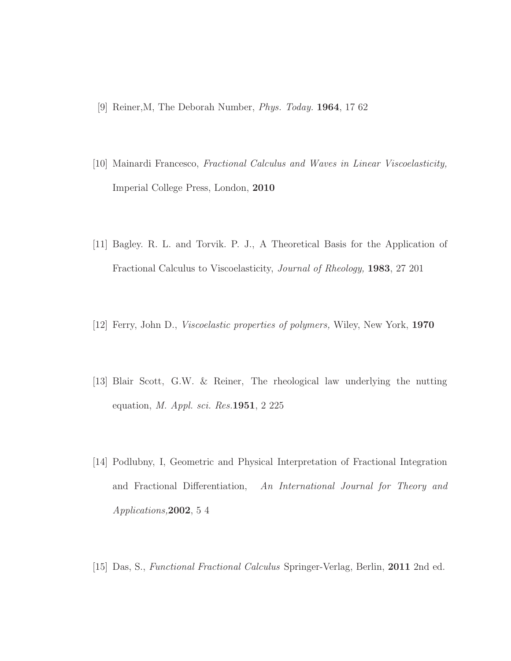- [9] Reiner,M, The Deborah Number, *Phys. Today.* 1964, 17 62
- [10] Mainardi Francesco, *Fractional Calculus and Waves in Linear Viscoelasticity,* Imperial College Press, London, 2010
- [11] Bagley. R. L. and Torvik. P. J., A Theoretical Basis for the Application of Fractional Calculus to Viscoelasticity, *Journal of Rheology,* 1983, 27 201
- [12] Ferry, John D., *Viscoelastic properties of polymers,* Wiley, New York, 1970
- [13] Blair Scott, G.W. & Reiner, The rheological law underlying the nutting equation, *M. Appl. sci. Res.*1951, 2 225
- [14] Podlubny, I, Geometric and Physical Interpretation of Fractional Integration and Fractional Differentiation, *An International Journal for Theory and Applications,*2002, 5 4
- [15] Das, S., *Functional Fractional Calculus* Springer-Verlag, Berlin, 2011 2nd ed.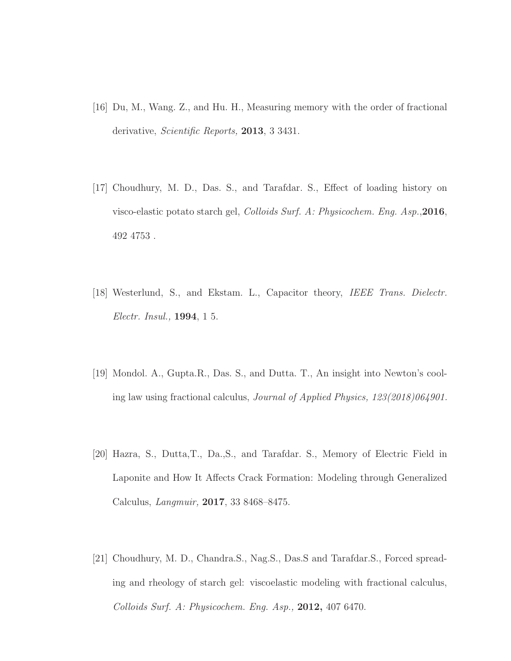- [16] Du, M., Wang. Z., and Hu. H., Measuring memory with the order of fractional derivative, *Scientific Reports,* 2013, 3 3431.
- [17] Choudhury, M. D., Das. S., and Tarafdar. S., Effect of loading history on visco-elastic potato starch gel, *Colloids Surf. A: Physicochem. Eng. Asp.*,2016, 492 4753 .
- [18] Westerlund, S., and Ekstam. L., Capacitor theory, *IEEE Trans. Dielectr. Electr. Insul.,* 1994, 1 5.
- [19] Mondol. A., Gupta.R., Das. S., and Dutta. T., An insight into Newton's cooling law using fractional calculus, *Journal of Applied Physics, 123(2018)064901.*
- [20] Hazra, S., Dutta,T., Da.,S., and Tarafdar. S., Memory of Electric Field in Laponite and How It Affects Crack Formation: Modeling through Generalized Calculus, *Langmuir,* 2017, 33 8468–8475.
- [21] Choudhury, M. D., Chandra.S., Nag.S., Das.S and Tarafdar.S., Forced spreading and rheology of starch gel: viscoelastic modeling with fractional calculus, *Colloids Surf. A: Physicochem. Eng. Asp.,* 2012, 407 6470.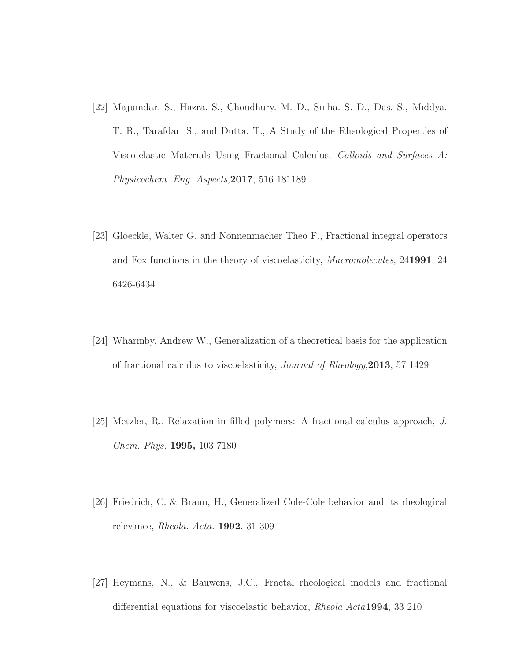- [22] Majumdar, S., Hazra. S., Choudhury. M. D., Sinha. S. D., Das. S., Middya. T. R., Tarafdar. S., and Dutta. T., A Study of the Rheological Properties of Visco-elastic Materials Using Fractional Calculus, *Colloids and Surfaces A: Physicochem. Eng. Aspects,*2017, 516 181189 .
- [23] Gloeckle, Walter G. and Nonnenmacher Theo F., Fractional integral operators and Fox functions in the theory of viscoelasticity, *Macromolecules,* 241991, 24 6426-6434
- [24] Wharmby, Andrew W., Generalization of a theoretical basis for the application of fractional calculus to viscoelasticity, *Journal of Rheology*,2013, 57 1429
- [25] Metzler, R., Relaxation in filled polymers: A fractional calculus approach, *J. Chem. Phys.* 1995, 103 7180
- [26] Friedrich, C. & Braun, H., Generalized Cole-Cole behavior and its rheological relevance, *Rheola. Acta.* 1992, 31 309
- [27] Heymans, N., & Bauwens, J.C., Fractal rheological models and fractional differential equations for viscoelastic behavior, *Rheola Acta*1994, 33 210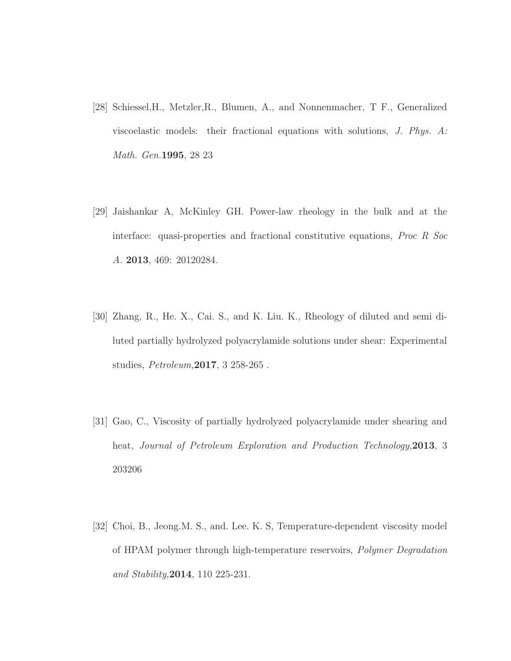- [28] Schiessel,H., Metzler,R., Blumen, A., and Nonnenmacher, T F., Generalized viscoelastic models: their fractional equations with solutions, *J. Phys. A: Math. Gen.*1995, 28 23
- [29] Jaishankar A, McKinley GH. Power-law rheology in the bulk and at the interface: quasi-properties and fractional constitutive equations, *Proc R Soc A.* 2013, 469: 20120284.
- [30] Zhang, R., He. X., Cai. S., and K. Liu. K., Rheology of diluted and semi diluted partially hydrolyzed polyacrylamide solutions under shear: Experimental studies, *Petroleum,*2017, 3 258-265 .
- [31] Gao, C., Viscosity of partially hydrolyzed polyacrylamide under shearing and heat, *Journal of Petroleum Exploration and Production Technology,*2013, 3 203206
- [32] Choi, B., Jeong.M. S., and. Lee. K. S, Temperature-dependent viscosity model of HPAM polymer through high-temperature reservoirs, *Polymer Degradation and Stability,*2014, 110 225-231.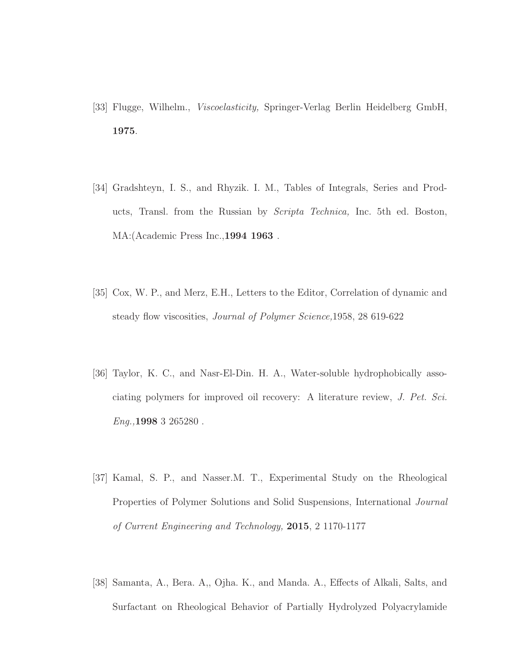- [33] Flugge, Wilhelm., *Viscoelasticity,* Springer-Verlag Berlin Heidelberg GmbH, 1975.
- [34] Gradshteyn, I. S., and Rhyzik. I. M., Tables of Integrals, Series and Products, Transl. from the Russian by *Scripta Technica,* Inc. 5th ed. Boston, MA:(Academic Press Inc.,1994 1963 .
- [35] Cox, W. P., and Merz, E.H., Letters to the Editor, Correlation of dynamic and steady flow viscosities, *Journal of Polymer Science,*1958, 28 619-622
- [36] Taylor, K. C., and Nasr-El-Din. H. A., Water-soluble hydrophobically associating polymers for improved oil recovery: A literature review, *J. Pet. Sci. Eng.,*1998 3 265280 .
- [37] Kamal, S. P., and Nasser.M. T., Experimental Study on the Rheological Properties of Polymer Solutions and Solid Suspensions, International *Journal of Current Engineering and Technology,* 2015, 2 1170-1177
- [38] Samanta, A., Bera. A,, Ojha. K., and Manda. A., Effects of Alkali, Salts, and Surfactant on Rheological Behavior of Partially Hydrolyzed Polyacrylamide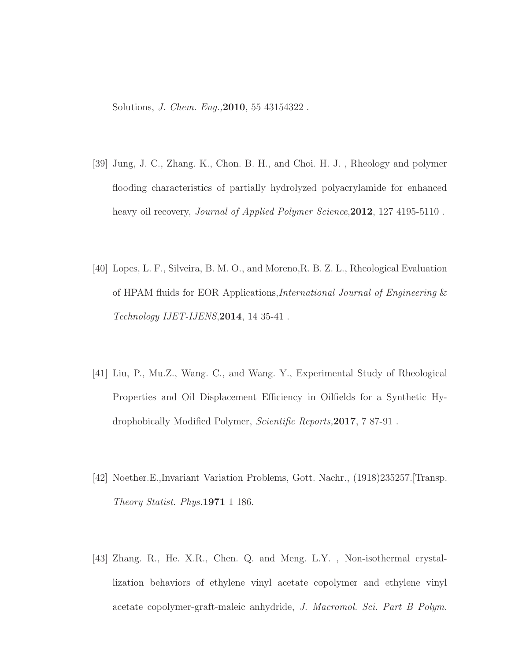Solutions, *J. Chem. Eng.,*2010, 55 43154322 .

- [39] Jung, J. C., Zhang. K., Chon. B. H., and Choi. H. J. , Rheology and polymer flooding characteristics of partially hydrolyzed polyacrylamide for enhanced heavy oil recovery, *Journal of Applied Polymer Science*,2012, 127 4195-5110 .
- [40] Lopes, L. F., Silveira, B. M. O., and Moreno,R. B. Z. L., Rheological Evaluation of HPAM fluids for EOR Applications,*International Journal of Engineering* & *Technology IJET-IJENS*,2014, 14 35-41 .
- [41] Liu, P., Mu.Z., Wang. C., and Wang. Y., Experimental Study of Rheological Properties and Oil Displacement Efficiency in Oilfields for a Synthetic Hydrophobically Modified Polymer, *Scientific Reports,*2017, 7 87-91 .
- [42] Noether.E.,Invariant Variation Problems, Gott. Nachr., (1918)235257.[Transp. *Theory Statist. Phys.*1971 1 186.
- [43] Zhang. R., He. X.R., Chen. Q. and Meng. L.Y. , Non-isothermal crystallization behaviors of ethylene vinyl acetate copolymer and ethylene vinyl acetate copolymer-graft-maleic anhydride, *J. Macromol. Sci. Part B Polym.*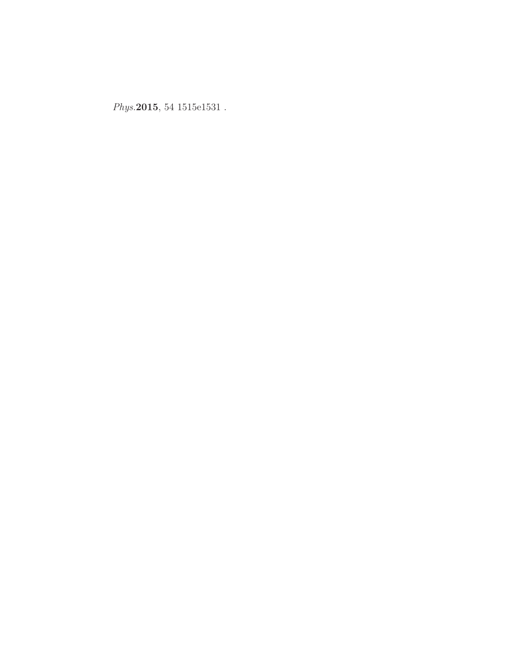*Phys.*2015, 54 1515e1531 .